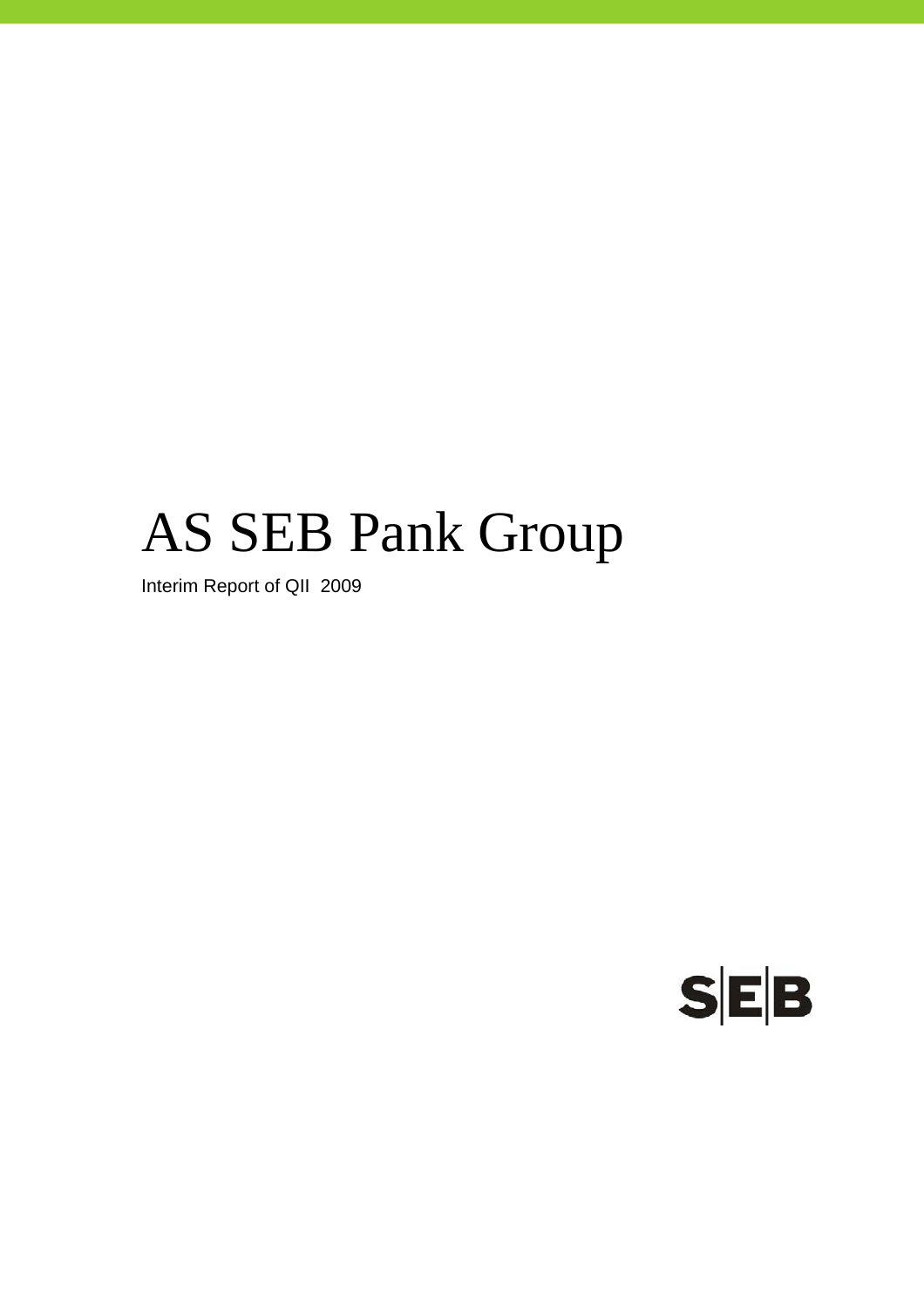# AS SEB Pank Group

Interim Report of QII 2009

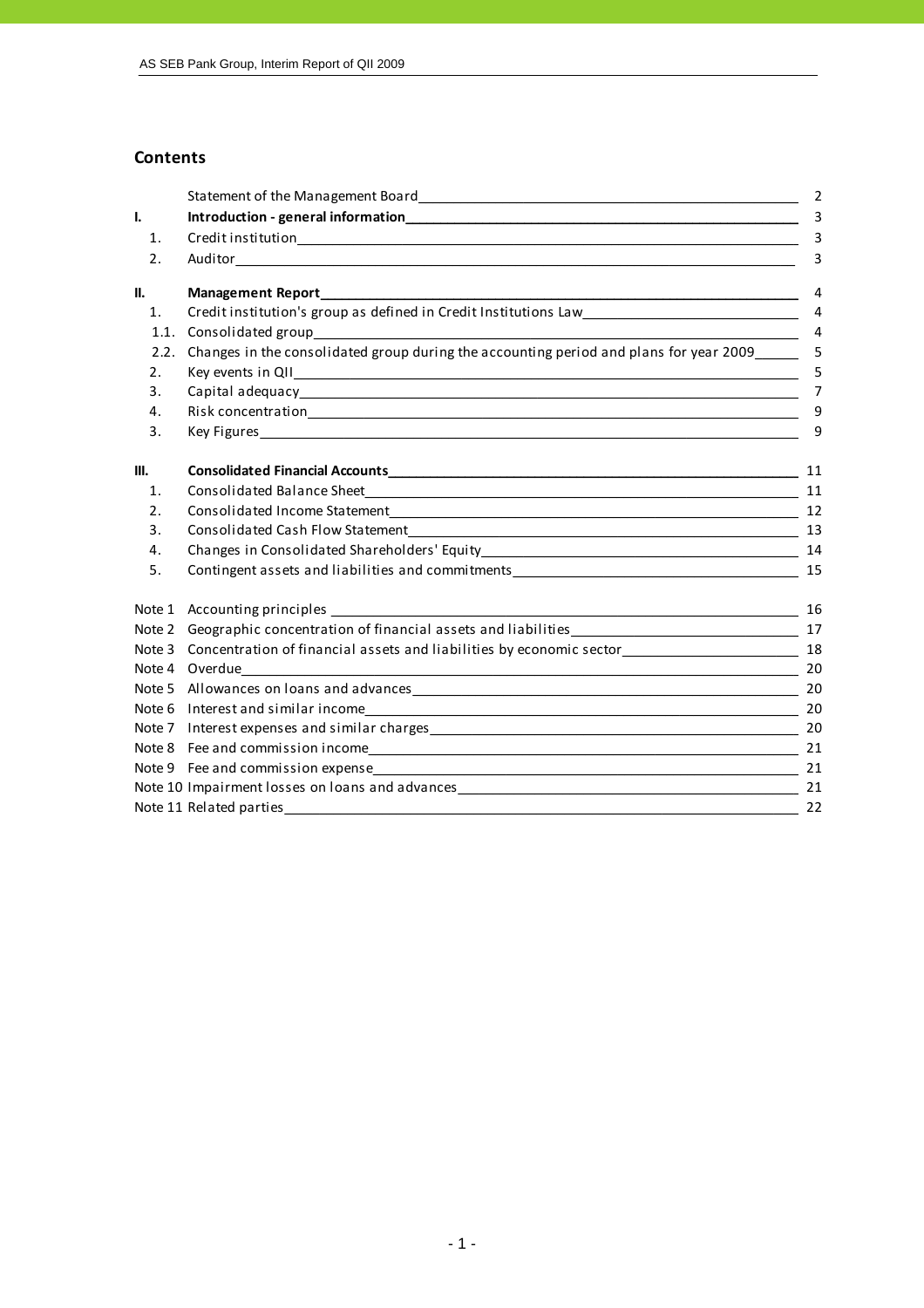#### **Contents**

|      |                                                                                                                                                                                                                                | $\overline{2}$ |
|------|--------------------------------------------------------------------------------------------------------------------------------------------------------------------------------------------------------------------------------|----------------|
| I.   |                                                                                                                                                                                                                                | -3             |
| 1.   |                                                                                                                                                                                                                                | 3              |
| 2.   |                                                                                                                                                                                                                                | 3              |
| II.  | Management Report and the contract of the contract of the contract of the contract of the contract of the contract of the contract of the contract of the contract of the contract of the contract of the contract of the cont | 4              |
| 1.   | Credit institution's group as defined in Credit Institutions Law___________________________________                                                                                                                            | 4              |
| 1.1. | Consolidated group                                                                                                                                                                                                             | $\overline{4}$ |
| 2.2. | Changes in the consolidated group during the accounting period and plans for year 2009                                                                                                                                         | -5             |
| 2.   |                                                                                                                                                                                                                                | 5              |
| 3.   |                                                                                                                                                                                                                                | $\overline{7}$ |
| 4.   |                                                                                                                                                                                                                                | 9              |
| 3.   |                                                                                                                                                                                                                                | 9              |
| III. |                                                                                                                                                                                                                                |                |
| 1.   |                                                                                                                                                                                                                                | 11             |
| 2.   |                                                                                                                                                                                                                                |                |
| 3.   |                                                                                                                                                                                                                                |                |
| 4.   |                                                                                                                                                                                                                                |                |
| 5.   |                                                                                                                                                                                                                                |                |
|      |                                                                                                                                                                                                                                | 16             |
|      | Note 2 Geographic concentration of financial assets and liabilities<br>17                                                                                                                                                      |                |
|      | Note 3 Concentration of financial assets and liabilities by economic sector_______________________________ 18                                                                                                                  |                |
|      | Note 4 Overdue                                                                                                                                                                                                                 | 20             |
|      |                                                                                                                                                                                                                                |                |
|      |                                                                                                                                                                                                                                |                |
|      |                                                                                                                                                                                                                                | 20             |
|      |                                                                                                                                                                                                                                |                |
|      |                                                                                                                                                                                                                                |                |
|      |                                                                                                                                                                                                                                |                |
|      |                                                                                                                                                                                                                                |                |
|      |                                                                                                                                                                                                                                |                |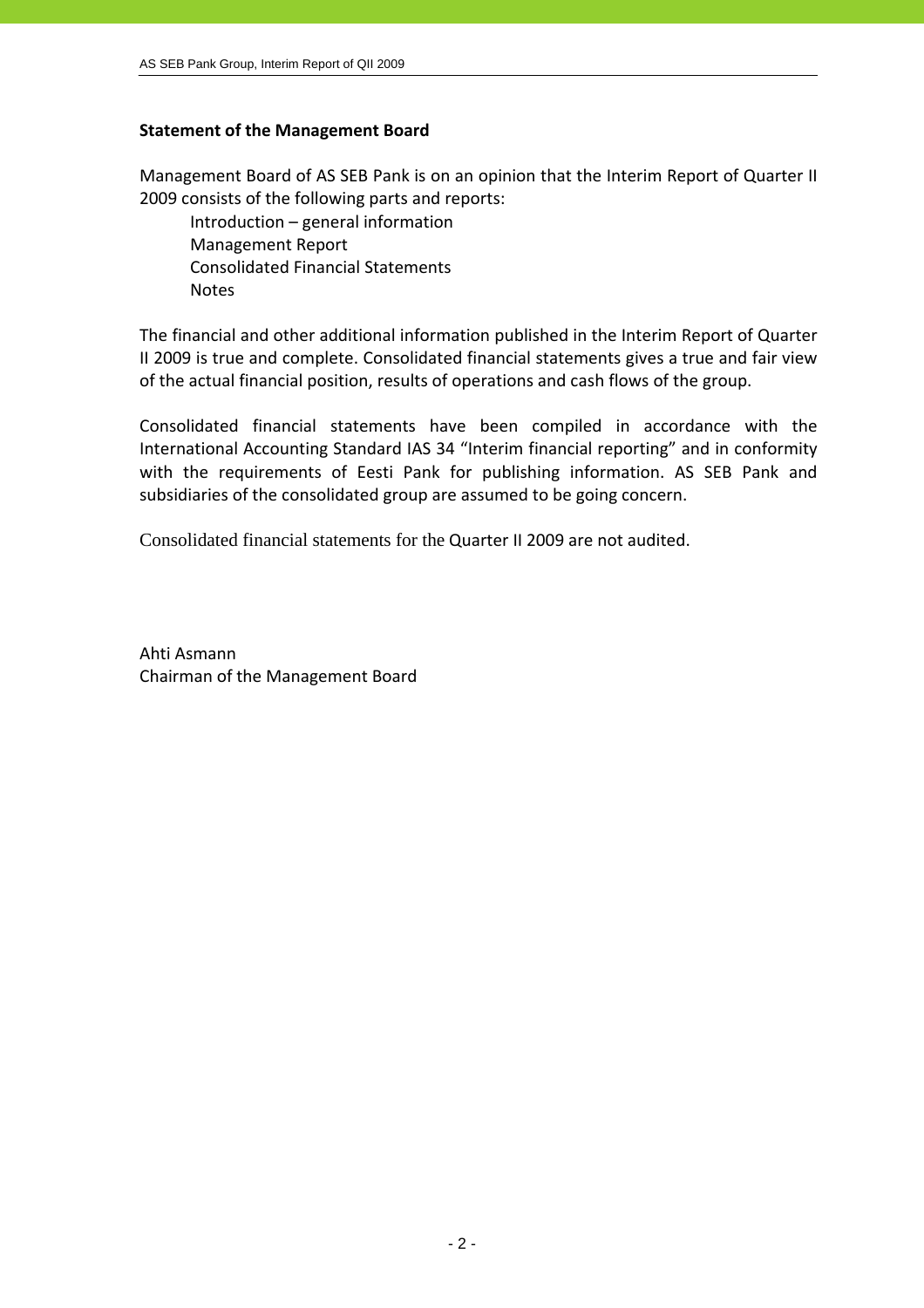#### **Statement of the Management Board**

Management Board of AS SEB Pank is on an opinion that the Interim Report of Quarter II 2009 consists of the following parts and reports:

 Introduction – general information Management Report Consolidated Financial Statements **Notes** 

The financial and other additional information published in the Interim Report of Quarter II 2009 is true and complete. Consolidated financial statements gives a true and fair view of the actual financial position, results of operations and cash flows of the group.

Consolidated financial statements have been compiled in accordance with the International Accounting Standard IAS 34 "Interim financial reporting" and in conformity with the requirements of Eesti Pank for publishing information. AS SEB Pank and subsidiaries of the consolidated group are assumed to be going concern.

Consolidated financial statements for the Quarter II 2009 are not audited.

Ahti Asmann Chairman of the Management Board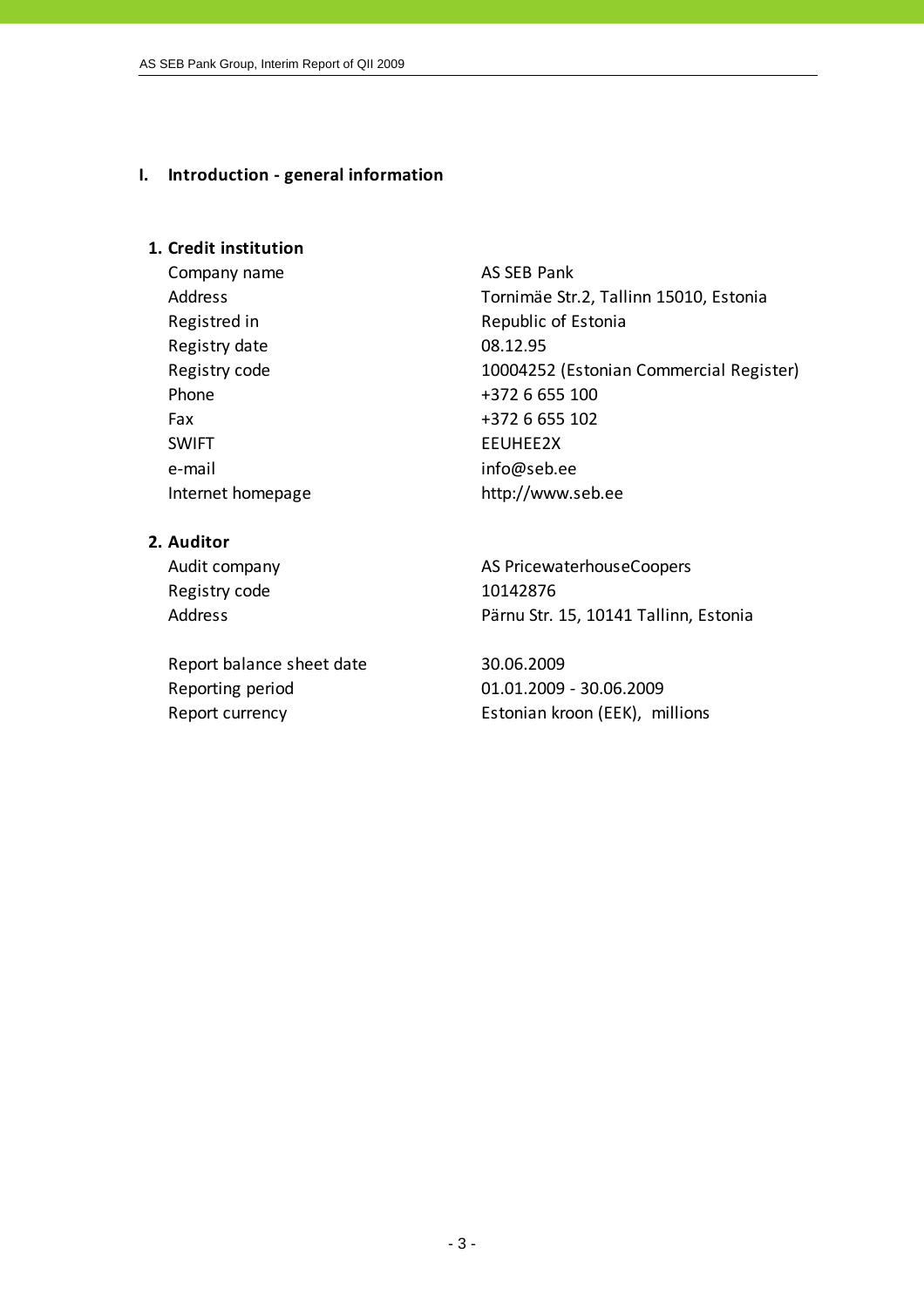#### **I. Introduction ‐ general information**

#### **1. Credit institution**

Company name AS SEB Pank Registry date 08.12.95 Phone  $+3726655100$ Fax  $+372\ 6\ 655\ 102$ SWIFT EEUHEE2X e-mail info@seb.ee Internet homepage http://www.seb.ee

Address Tornimäe Str.2, Tallinn 15010, Estonia Registred in Republic of Estonia Registry code 10004252 (Estonian Commercial Register)

# **2. Auditor**

Registry code 10142876

Report balance sheet date 30.06.2009 Reporting period 01.01.2009 ‐ 30.06.2009

Audit company **AS PricewaterhouseCoopers** Address **Pärnu Str. 15, 10141 Tallinn, Estonia** 

Report currency **Estonian kroon** (EEK), millions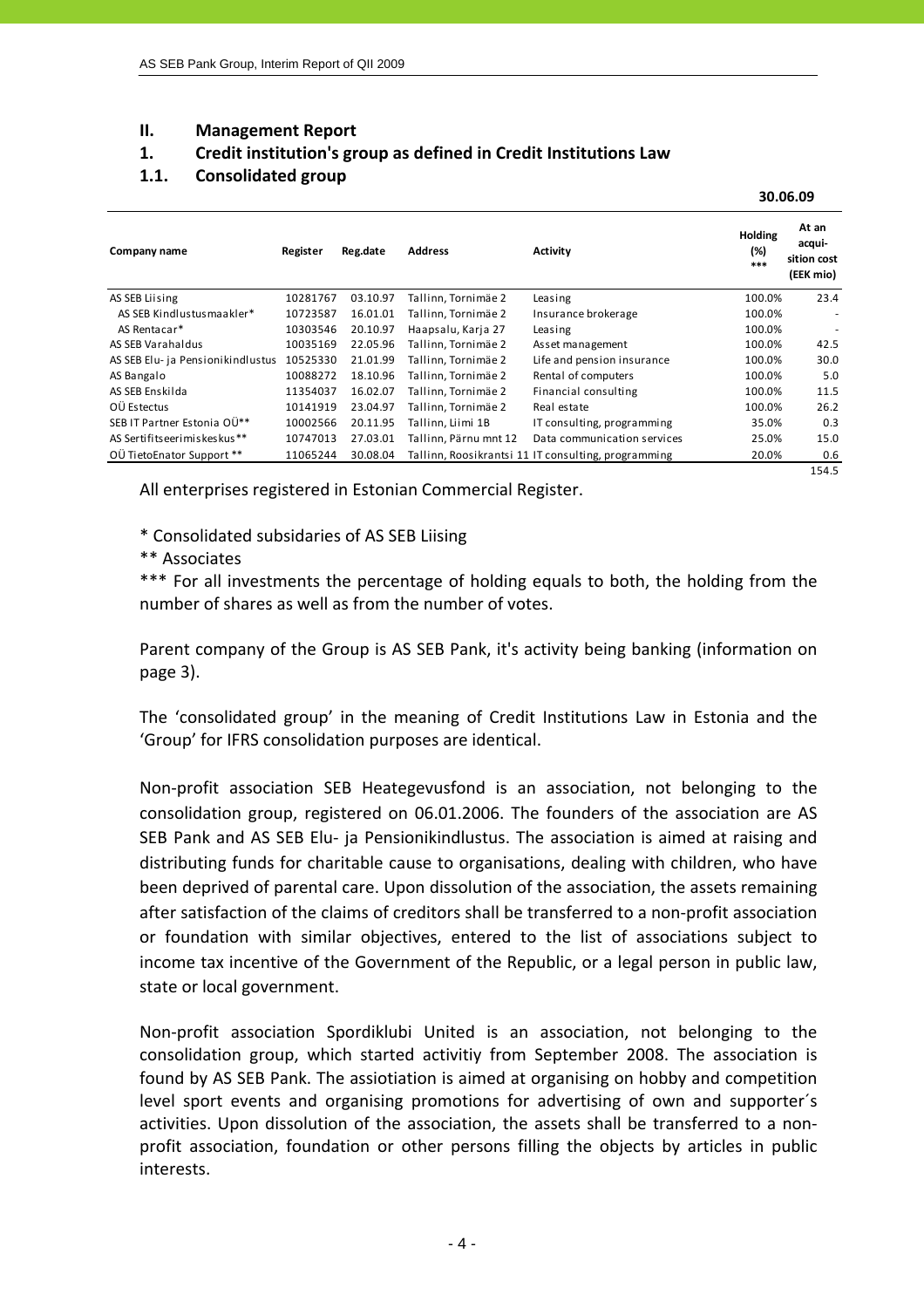#### **II. Management Report**

# **1. Credit institution's group as defined in Credit Institutions Law**

# **1.1. Consolidated group**

 $\bf{30.06.09}$ 

| Company name                      | Register | Reg.date | <b>Address</b>        | <b>Activity</b>                                     | <b>Holding</b><br>(%)<br>$***$ | At an<br>acqui-<br>sition cost<br>(EEK mio) |
|-----------------------------------|----------|----------|-----------------------|-----------------------------------------------------|--------------------------------|---------------------------------------------|
| AS SEB Liising                    | 10281767 | 03.10.97 | Tallinn, Tornimäe 2   | Leasing                                             | 100.0%                         | 23.4                                        |
| AS SEB Kindlustusmaakler*         | 10723587 | 16.01.01 | Tallinn, Tornimäe 2   | Insurance brokerage                                 | 100.0%                         | ٠                                           |
| AS Rentacar*                      | 10303546 | 20.10.97 | Haapsalu, Karja 27    | Leasing                                             | 100.0%                         | ٠                                           |
| AS SEB Varahaldus                 | 10035169 | 22.05.96 | Tallinn, Tornimäe 2   | Asset management                                    | 100.0%                         | 42.5                                        |
| AS SEB Elu- ja Pensionikindlustus | 10525330 | 21.01.99 | Tallinn, Tornimäe 2   | Life and pension insurance                          | 100.0%                         | 30.0                                        |
| AS Bangalo                        | 10088272 | 18.10.96 | Tallinn, Tornimäe 2   | Rental of computers                                 | 100.0%                         | 5.0                                         |
| AS SEB Enskilda                   | 11354037 | 16.02.07 | Tallinn. Tornimäe 2   | Financial consulting                                | 100.0%                         | 11.5                                        |
| OÜ Estectus                       | 10141919 | 23.04.97 | Tallinn, Tornimäe 2   | Real estate                                         | 100.0%                         | 26.2                                        |
| SEB IT Partner Estonia OÜ**       | 10002566 | 20.11.95 | Tallinn. Liimi 1B     | IT consulting, programming                          | 35.0%                          | 0.3                                         |
| AS Sertifits eerimiskes kus **    | 10747013 | 27.03.01 | Tallinn, Pärnu mnt 12 | Data communication services                         | 25.0%                          | 15.0                                        |
| OÜ TietoEnator Support **         | 11065244 | 30.08.04 |                       | Tallinn, Roosikrantsi 11 IT consulting, programming | 20.0%                          | 0.6                                         |
|                                   |          |          |                       |                                                     |                                | 154.5                                       |

All enterprises registered in Estonian Commercial Register.

\* Consolidated subsidaries of AS SEB Liising

\*\* Associates

\*\*\* For all investments the percentage of holding equals to both, the holding from the number of shares as well as from the number of votes.

Parent company of the Group is AS SEB Pank, it's activity being banking (information on page 3).

The 'consolidated group' in the meaning of Credit Institutions Law in Estonia and the 'Group' for IFRS consolidation purposes are identical.

Non‐profit association SEB Heategevusfond is an association, not belonging to the consolidation group, registered on 06.01.2006. The founders of the association are AS SEB Pank and AS SEB Elu‐ ja Pensionikindlustus. The association is aimed at raising and distributing funds for charitable cause to organisations, dealing with children, who have been deprived of parental care. Upon dissolution of the association, the assets remaining after satisfaction of the claims of creditors shall be transferred to a non‐profit association or foundation with similar objectives, entered to the list of associations subject to income tax incentive of the Government of the Republic, or a legal person in public law, state or local government.

Non‐profit association Spordiklubi United is an association, not belonging to the consolidation group, which started activitiy from September 2008. The association is found by AS SEB Pank. The assiotiation is aimed at organising on hobby and competition level sport events and organising promotions for advertising of own and supporter´s activities. Upon dissolution of the association, the assets shall be transferred to a non‐ profit association, foundation or other persons filling the objects by articles in public interests.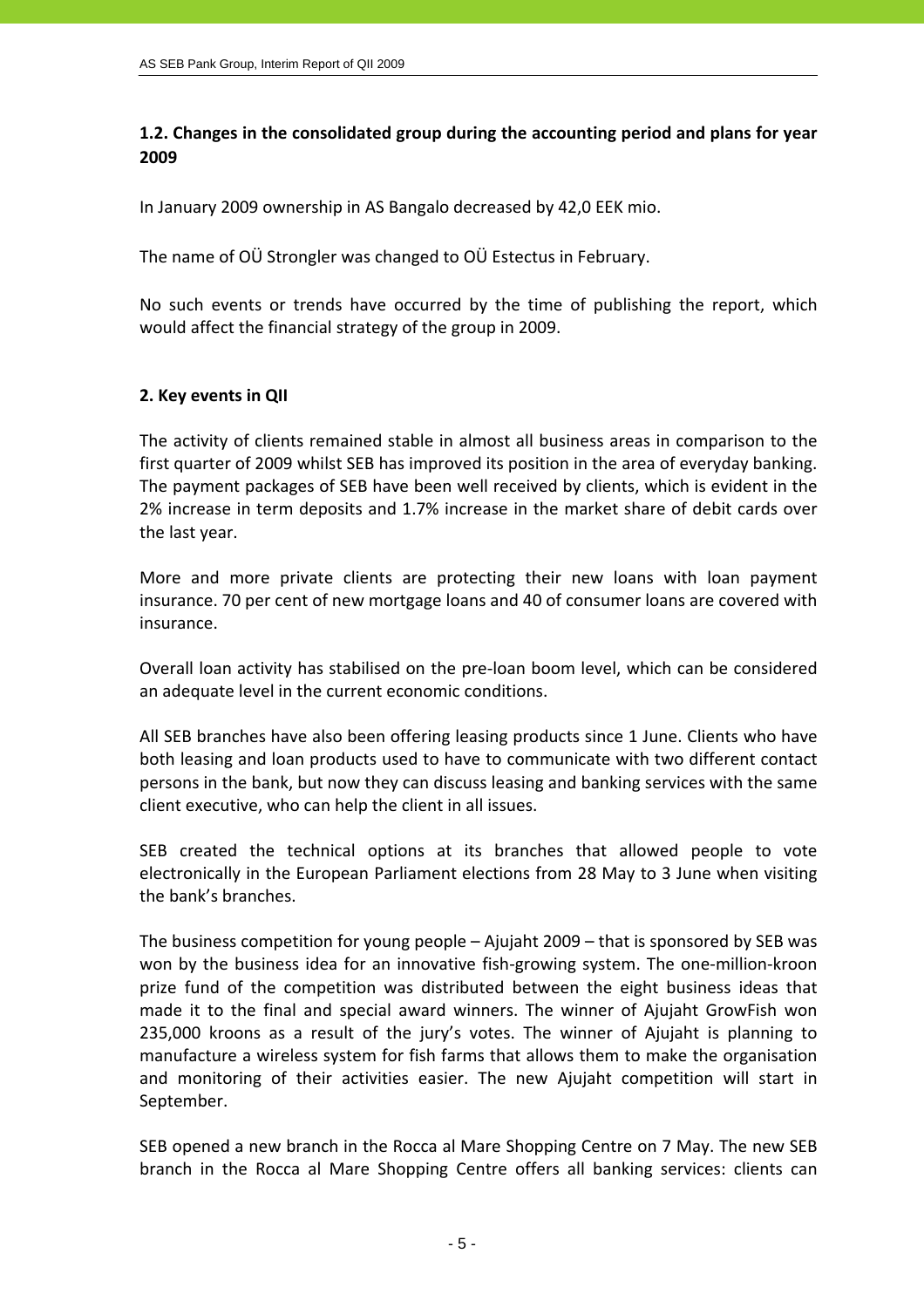# **1.2. Changes in the consolidated group during the accounting period and plans for year 2009**

In January 2009 ownership in AS Bangalo decreased by 42,0 EEK mio.

The name of OÜ Strongler was changed to OÜ Estectus in February.

No such events or trends have occurred by the time of publishing the report, which would affect the financial strategy of the group in 2009.

# **2. Key events in QII**

The activity of clients remained stable in almost all business areas in comparison to the first quarter of 2009 whilst SEB has improved its position in the area of everyday banking. The payment packages of SEB have been well received by clients, which is evident in the 2% increase in term deposits and 1.7% increase in the market share of debit cards over the last year.

More and more private clients are protecting their new loans with loan payment insurance. 70 per cent of new mortgage loans and 40 of consumer loans are covered with insurance.

Overall loan activity has stabilised on the pre‐loan boom level, which can be considered an adequate level in the current economic conditions.

All SEB branches have also been offering leasing products since 1 June. Clients who have both leasing and loan products used to have to communicate with two different contact persons in the bank, but now they can discuss leasing and banking services with the same client executive, who can help the client in all issues.

SEB created the technical options at its branches that allowed people to vote electronically in the European Parliament elections from 28 May to 3 June when visiting the bank's branches.

The business competition for young people – Ajujaht 2009 – that is sponsored by SEB was won by the business idea for an innovative fish-growing system. The one-million-kroon prize fund of the competition was distributed between the eight business ideas that made it to the final and special award winners. The winner of Ajujaht GrowFish won 235,000 kroons as a result of the jury's votes. The winner of Ajujaht is planning to manufacture a wireless system for fish farms that allows them to make the organisation and monitoring of their activities easier. The new Ajujaht competition will start in September.

SEB opened a new branch in the Rocca al Mare Shopping Centre on 7 May. The new SEB branch in the Rocca al Mare Shopping Centre offers all banking services: clients can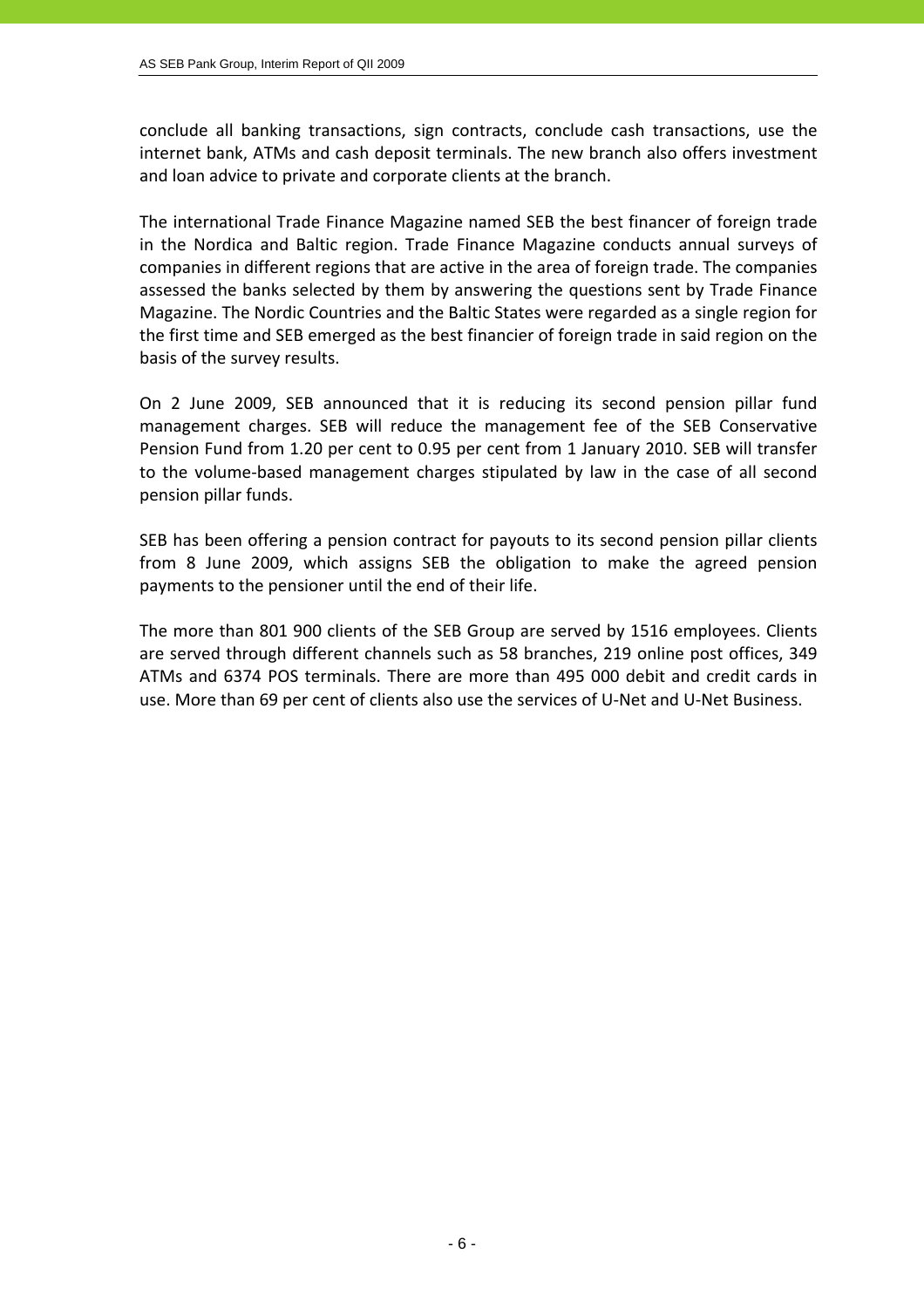conclude all banking transactions, sign contracts, conclude cash transactions, use the internet bank, ATMs and cash deposit terminals. The new branch also offers investment and loan advice to private and corporate clients at the branch.

The international Trade Finance Magazine named SEB the best financer of foreign trade in the Nordica and Baltic region. Trade Finance Magazine conducts annual surveys of companies in different regions that are active in the area of foreign trade. The companies assessed the banks selected by them by answering the questions sent by Trade Finance Magazine. The Nordic Countries and the Baltic States were regarded as a single region for the first time and SEB emerged as the best financier of foreign trade in said region on the basis of the survey results.

On 2 June 2009, SEB announced that it is reducing its second pension pillar fund management charges. SEB will reduce the management fee of the SEB Conservative Pension Fund from 1.20 per cent to 0.95 per cent from 1 January 2010. SEB will transfer to the volume‐based management charges stipulated by law in the case of all second pension pillar funds.

SEB has been offering a pension contract for payouts to its second pension pillar clients from 8 June 2009, which assigns SEB the obligation to make the agreed pension payments to the pensioner until the end of their life.

The more than 801 900 clients of the SEB Group are served by 1516 employees. Clients are served through different channels such as 58 branches, 219 online post offices, 349 ATMs and 6374 POS terminals. There are more than 495 000 debit and credit cards in use. More than 69 per cent of clients also use the services of U‐Net and U‐Net Business.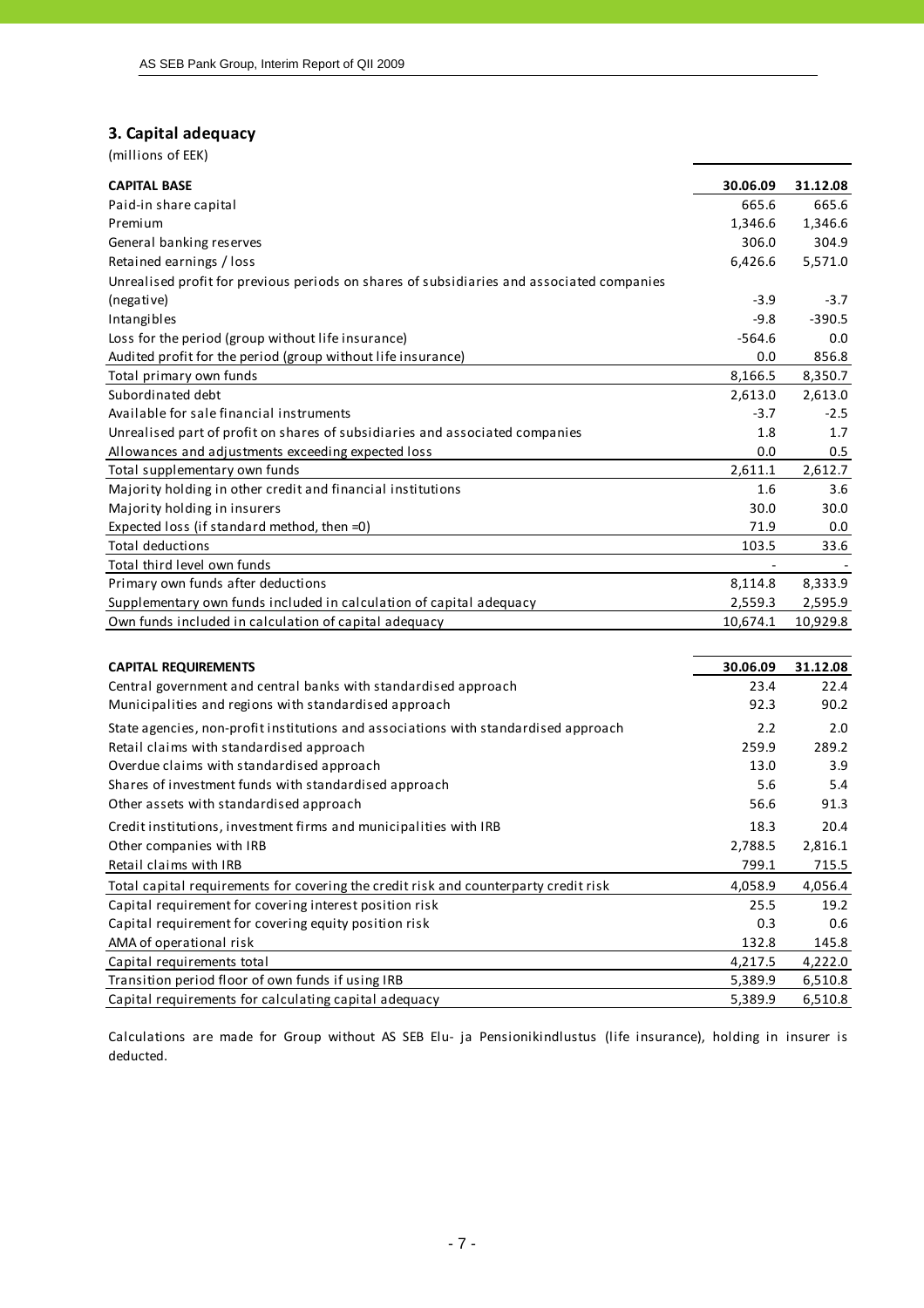#### **3. Capital adequacy**

AMA of operational risk

Transition period floor of own funds if using IRB

| (millions of EEK) |  |
|-------------------|--|
|                   |  |

| <b>CAPITAL BASE</b>                                                                       | 30.06.09 | 31.12.08 |
|-------------------------------------------------------------------------------------------|----------|----------|
| Paid-in share capital                                                                     | 665.6    | 665.6    |
| Premium                                                                                   | 1,346.6  | 1,346.6  |
| General banking reserves                                                                  | 306.0    | 304.9    |
| Retained earnings / loss                                                                  | 6,426.6  | 5,571.0  |
| Unrealised profit for previous periods on shares of subsidiaries and associated companies |          |          |
| (negative)                                                                                | $-3.9$   | $-3.7$   |
| Intangibles                                                                               | $-9.8$   | $-390.5$ |
| Loss for the period (group without life insurance)                                        | $-564.6$ | 0.0      |
| Audited profit for the period (group without life insurance)                              | 0.0      | 856.8    |
| Total primary own funds                                                                   | 8,166.5  | 8,350.7  |
| Subordinated debt                                                                         | 2,613.0  | 2,613.0  |
| Available for sale financial instruments                                                  | $-3.7$   | $-2.5$   |
| Unrealised part of profit on shares of subsidiaries and associated companies              | 1.8      | 1.7      |
| Allowances and adjustments exceeding expected loss                                        | 0.0      | 0.5      |
| Total supplementary own funds                                                             | 2,611.1  | 2,612.7  |
| Majority holding in other credit and financial institutions                               | 1.6      | 3.6      |
| Majority holding in insurers                                                              | 30.0     | 30.0     |
| Expected loss (if standard method, then =0)                                               | 71.9     | 0.0      |
| <b>Total deductions</b>                                                                   | 103.5    | 33.6     |
| Total third level own funds                                                               |          |          |
| Primary own funds after deductions                                                        | 8,114.8  | 8,333.9  |
| Supplementary own funds included in calculation of capital adequacy                       | 2,559.3  | 2,595.9  |
| Own funds included in calculation of capital adequacy                                     | 10,674.1 | 10,929.8 |
|                                                                                           |          |          |
| <b>CAPITAL REQUIREMENTS</b>                                                               | 30.06.09 | 31.12.08 |
| Central government and central banks with standardised approach                           | 23.4     | 22.4     |
| Municipalities and regions with standardised approach                                     | 92.3     | 90.2     |
| State agencies, non-profit institutions and associations with standardised approach       | 2.2      | 2.0      |
| Retail claims with standardised approach                                                  | 259.9    | 289.2    |
| Overdue claims with standardised approach                                                 | 13.0     | 3.9      |
| Shares of investment funds with standardised approach                                     | 5.6      | 5.4      |
| Other assets with standardised approach                                                   | 56.6     | 91.3     |
| Credit institutions, investment firms and municipalities with IRB                         | 18.3     | 20.4     |
| Other companies with IRB                                                                  | 2,788.5  | 2,816.1  |
| Retail claims with IRB                                                                    | 799.1    | 715.5    |
| Total capital requirements for covering the credit risk and counterparty credit risk      | 4,058.9  | 4,056.4  |

Calculations are made for Group without AS SEB Elu- ja Pensionikindlustus (life insurance), holding in insurer is deducted.

Capital requirement for covering interest position risk 25.5 19.2 Capital requirement for covering equity position risk and the context of the context of the context of the context of the context of the context of the context of the context of the context of the context of the context of

Capital requirements total 6.1 and 5.222.0 4,217.5 4,222.0

Capital requirements for calculating capital adequacy 6,510.8 6,510.8

5,389.9 6,510.8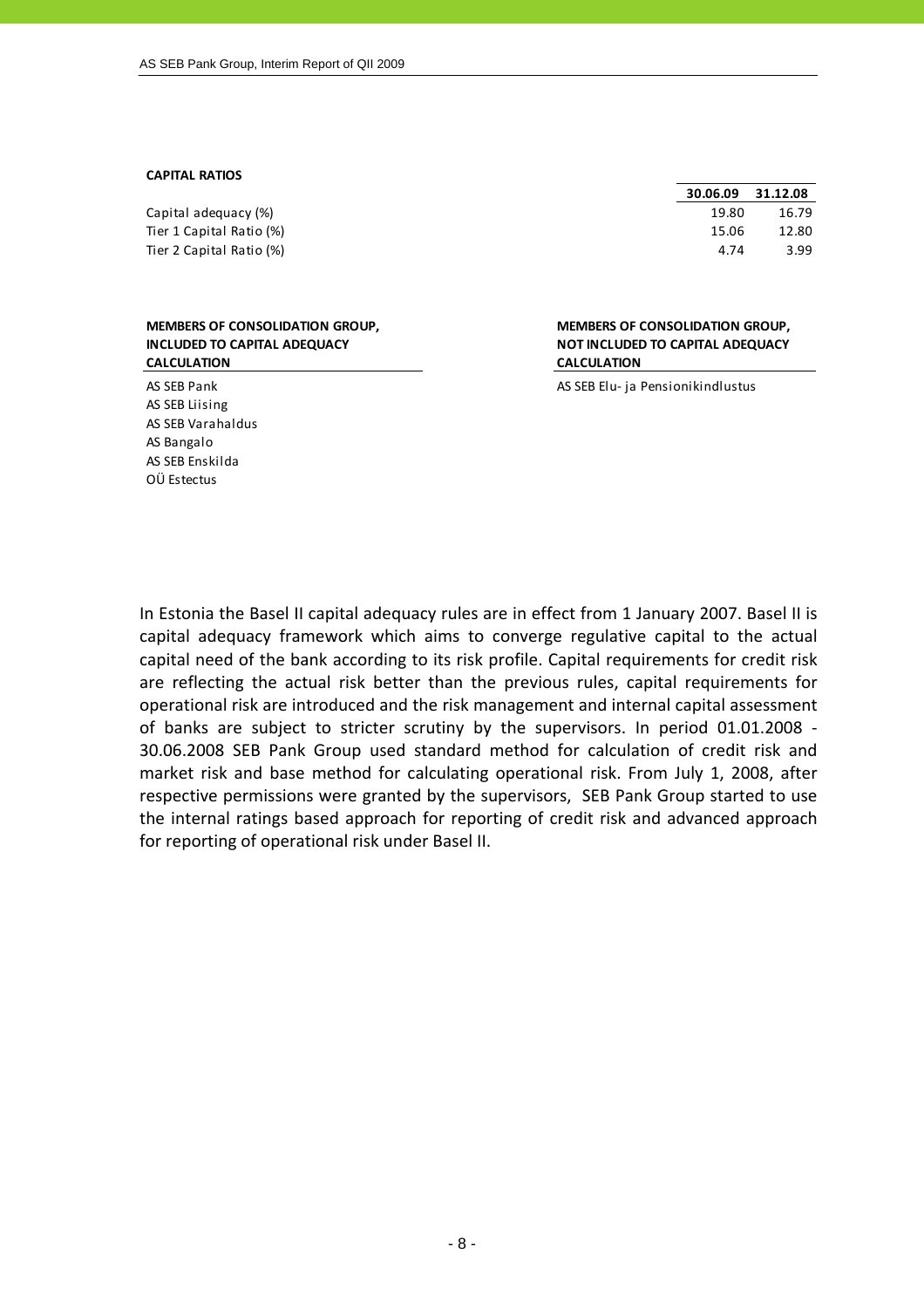#### **CAPITAL RATIOS**

Capital adequacy (%) Tier 1 Capital Ratio (%) Tier 2 Capital Ratio (%)

| <b>MEMBERS OF CONSOLIDATION GROUP,</b> |
|----------------------------------------|
| INCLUDED TO CAPITAL ADEQUACY           |
| <b>CALCULATION</b>                     |

AS SEB Liising AS SEB Varahaldus AS Bangalo AS SEB Enskilda OÜ Estectus

| 30.06.09 | 31.12.08 |
|----------|----------|
| 19.80    | 16.79    |
| 15.06    | 12.80    |
| 4.74     | 3.99     |

**MEMBERS OF CONSOLIDATION GROUP, NOT INCLUDED TO CAPITAL ADEQUACY CALCULATION**

AS SEB Pank AS SEB Elu- ja Pensionikindlustus

In Estonia the Basel II capital adequacy rules are in effect from 1 January 2007. Basel II is capital adequacy framework which aims to converge regulative capital to the actual capital need of the bank according to its risk profile. Capital requirements for credit risk are reflecting the actual risk better than the previous rules, capital requirements for operational risk are introduced and the risk management and internal capital assessment of banks are subject to stricter scrutiny by the supervisors. In period 01.01.2008 ‐ 30.06.2008 SEB Pank Group used standard method for calculation of credit risk and market risk and base method for calculating operational risk. From July 1, 2008, after respective permissions were granted by the supervisors, SEB Pank Group started to use the internal ratings based approach for reporting of credit risk and advanced approach for reporting of operational risk under Basel II.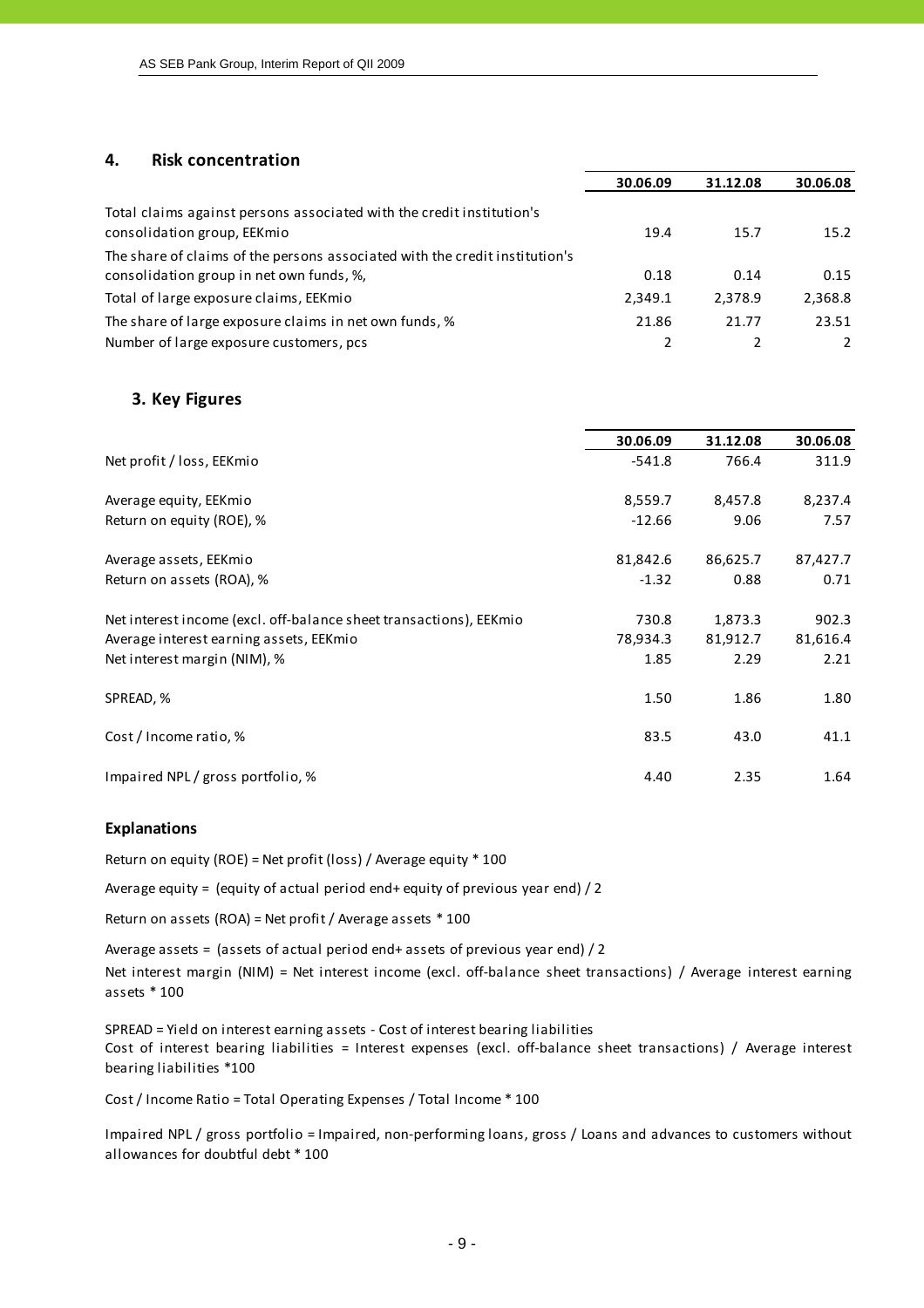#### **4. Risk concentration**

|                                                                                                      | 30.06.09 | 31.12.08 | 30.06.08      |
|------------------------------------------------------------------------------------------------------|----------|----------|---------------|
| Total claims against persons associated with the credit institution's<br>consolidation group, EEKmio | 19.4     | 15.7     | 15.2          |
| The share of claims of the persons associated with the credit institution's                          |          |          |               |
| consolidation group in net own funds, %,                                                             | 0.18     | 0.14     | 0.15          |
| Total of large exposure claims, EEKmio                                                               | 2,349.1  | 2,378.9  | 2,368.8       |
| The share of large exposure claims in net own funds, %                                               | 21.86    | 21.77    | 23.51         |
| Number of large exposure customers, pcs                                                              |          |          | $\mathcal{L}$ |

#### **3. Key Figures**

|                                                                    | 30.06.09 | 31.12.08 | 30.06.08 |
|--------------------------------------------------------------------|----------|----------|----------|
| Net profit / loss, EEKmio                                          | $-541.8$ | 766.4    | 311.9    |
|                                                                    |          |          |          |
| Average equity, EEKmio                                             | 8,559.7  | 8,457.8  | 8,237.4  |
| Return on equity (ROE), %                                          | $-12.66$ | 9.06     | 7.57     |
| Average assets, EEKmio                                             | 81,842.6 | 86,625.7 | 87,427.7 |
|                                                                    |          |          | 0.71     |
| Return on assets (ROA), %                                          | $-1.32$  | 0.88     |          |
| Net interest income (excl. off-balance sheet transactions), EEKmio | 730.8    | 1,873.3  | 902.3    |
| Average interest earning assets, EEKmio                            | 78,934.3 | 81,912.7 | 81,616.4 |
| Net interest margin (NIM), %                                       | 1.85     | 2.29     | 2.21     |
| SPREAD, %                                                          | 1.50     | 1.86     | 1.80     |
| Cost / Income ratio, %                                             | 83.5     | 43.0     | 41.1     |
| Impaired NPL / gross portfolio, %                                  | 4.40     | 2.35     | 1.64     |

#### **Explanations**

Return on equity (ROE) = Net profit (loss) / Average equity \* 100

Average equity = (equity of actual period end+ equity of previous year end) / 2

Return on assets (ROA) = Net profit / Average assets \* 100

Average assets = (assets of actual period end+ assets of previous year end)  $/ 2$ Net interest margin (NIM) = Net interest income (excl. off-balance sheet transactions) / Average interest earning assets \* 100

SPREAD = Yield on interest earning assets ‐ Cost of interest bearing liabilities Cost of interest bearing liabilities = Interest expenses (excl. off‐balance sheet transactions) / Average interest bearing liabilities \*100

Cost / Income Ratio = Total Operating Expenses / Total Income \* 100

Impaired NPL / gross portfolio = Impaired, non-performing loans, gross / Loans and advances to customers without allowances for doubtful debt \* 100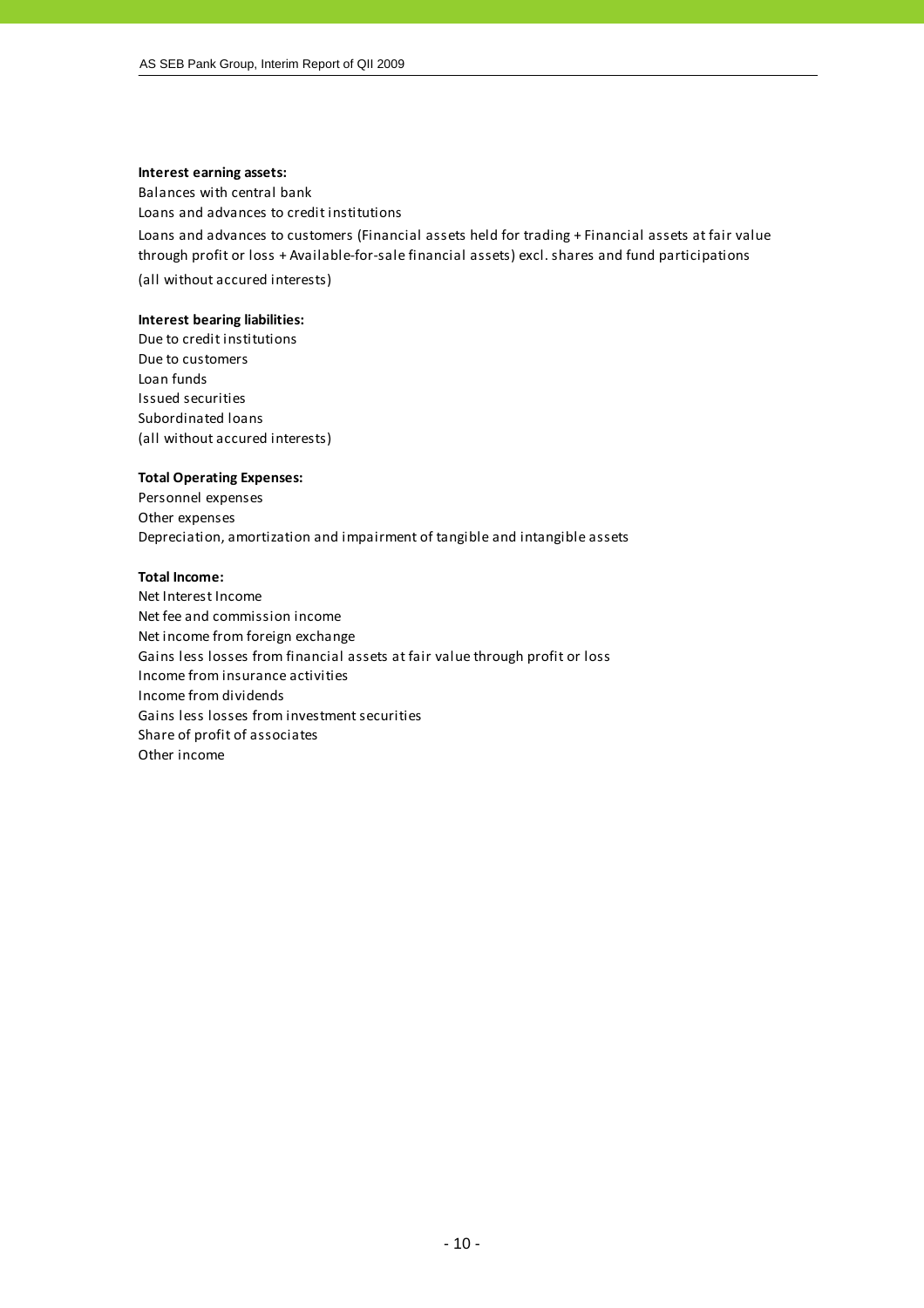#### **Interest earning assets:**

Balances with central bank

Loans and advances to credit institutions

Loans and advances to customers (Financial assets held for trading + Financial assets at fair value through profit or loss + Available‐for‐sale financial assets) excl. shares and fund participations

(all without accured interests)

#### **Interest bearing liabilities:**

Due to credit institutions Due to customers Loan funds Issued securities Subordinated loans (all without accured interests)

#### **Total Operating Expenses:**

Personnel expenses Other expenses Depreciation, amortization and impairment of tangible and intangible assets

#### **Total Income:**

Net Interest Income Net fee and commission income Net income from foreign exchange Gains less losses from financial assets at fair value through profit or loss Income from insurance activities Income from dividends Gains less losses from investment securities Share of profit of associates Other income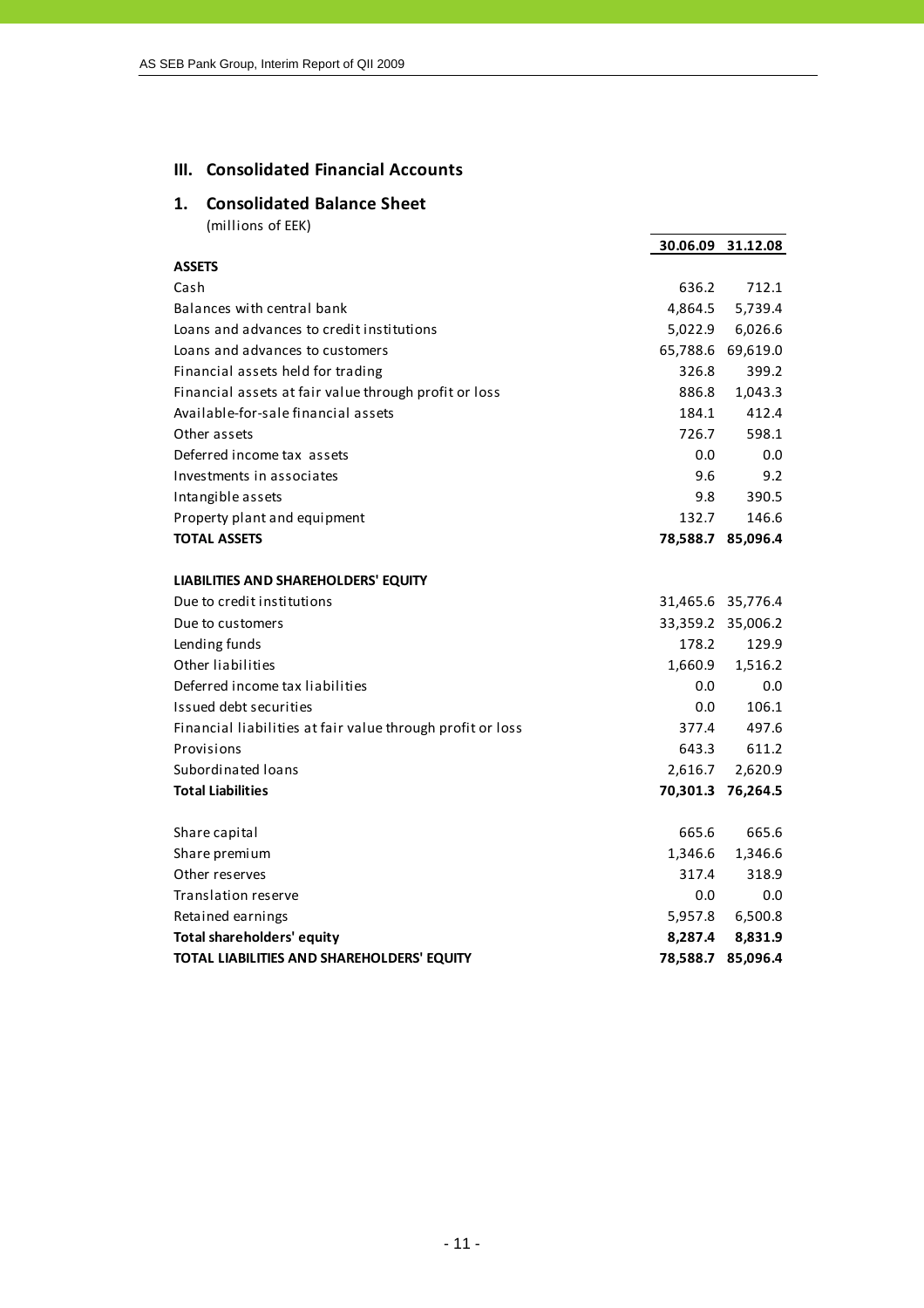# **III. Consolidated Financial Accounts**

## **1. Consolidated Balance Sheet**

|                                                            |         | 30.06.09 31.12.08 |
|------------------------------------------------------------|---------|-------------------|
| <b>ASSETS</b>                                              |         |                   |
| Cash                                                       | 636.2   | 712.1             |
| Balances with central bank                                 | 4,864.5 | 5,739.4           |
| Loans and advances to credit institutions                  | 5,022.9 | 6,026.6           |
| Loans and advances to customers                            |         | 65,788.6 69,619.0 |
| Financial assets held for trading                          | 326.8   | 399.2             |
| Financial assets at fair value through profit or loss      | 886.8   | 1,043.3           |
| Available-for-sale financial assets                        | 184.1   | 412.4             |
| Other assets                                               | 726.7   | 598.1             |
| Deferred income tax assets                                 | 0.0     | 0.0               |
| Investments in associates                                  | 9.6     | 9.2               |
| Intangible assets                                          | 9.8     | 390.5             |
| Property plant and equipment                               | 132.7   | 146.6             |
| <b>TOTAL ASSETS</b>                                        |         | 78,588.7 85,096.4 |
|                                                            |         |                   |
| LIABILITIES AND SHAREHOLDERS' EQUITY                       |         |                   |
| Due to credit institutions                                 |         | 31,465.6 35,776.4 |
| Due to customers                                           |         | 33,359.2 35,006.2 |
| Lending funds                                              | 178.2   | 129.9             |
| Other liabilities                                          | 1,660.9 | 1,516.2           |
| Deferred income tax liabilities                            | $0.0\,$ | 0.0               |
| Issued debt securities                                     | 0.0     | 106.1             |
| Financial liabilities at fair value through profit or loss | 377.4   | 497.6             |
| Provisions                                                 | 643.3   | 611.2             |
| Subordinated loans                                         | 2,616.7 | 2,620.9           |
| <b>Total Liabilities</b>                                   |         | 70,301.3 76,264.5 |
|                                                            |         |                   |
| Share capital                                              | 665.6   | 665.6             |
| Share premium                                              | 1,346.6 | 1,346.6           |
| Other reserves                                             | 317.4   | 318.9             |
| Translation reserve                                        | $0.0\,$ | 0.0               |
| Retained earnings                                          | 5,957.8 | 6,500.8           |
| Total shareholders' equity                                 | 8,287.4 | 8,831.9           |
| TOTAL LIABILITIES AND SHAREHOLDERS' EQUITY                 |         | 78,588.7 85,096.4 |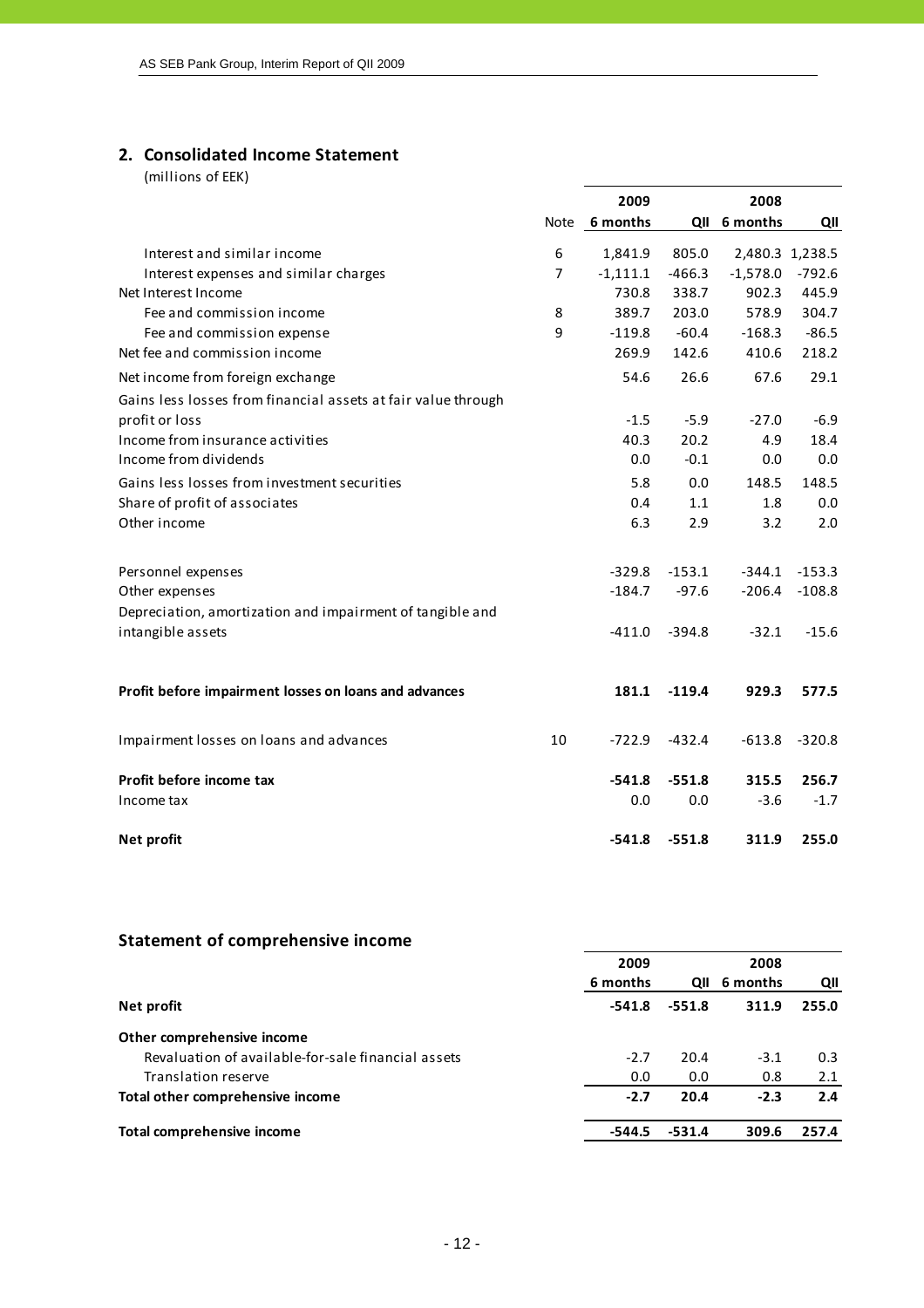# **2. Consolidated Income Statement**

|                                                               |                | 2009          |          | 2008            |          |
|---------------------------------------------------------------|----------------|---------------|----------|-----------------|----------|
|                                                               |                | Note 6 months |          | QII 6 months    | QII      |
| Interest and similar income                                   | 6              | 1,841.9       | 805.0    | 2,480.3 1,238.5 |          |
| Interest expenses and similar charges                         | $\overline{7}$ | $-1,111.1$    | $-466.3$ | $-1,578.0$      | $-792.6$ |
| Net Interest Income                                           |                | 730.8         | 338.7    | 902.3           | 445.9    |
| Fee and commission income                                     | 8              | 389.7         | 203.0    | 578.9           | 304.7    |
| Fee and commission expense                                    | 9              | $-119.8$      | $-60.4$  | $-168.3$        | $-86.5$  |
| Net fee and commission income                                 |                | 269.9         | 142.6    | 410.6           | 218.2    |
| Net income from foreign exchange                              |                | 54.6          | 26.6     | 67.6            | 29.1     |
| Gains less losses from financial assets at fair value through |                |               |          |                 |          |
| profit or loss                                                |                | $-1.5$        | $-5.9$   | $-27.0$         | $-6.9$   |
| Income from insurance activities                              |                | 40.3          | 20.2     | 4.9             | 18.4     |
| Income from dividends                                         |                | 0.0           | $-0.1$   | 0.0             | 0.0      |
| Gains less losses from investment securities                  |                | 5.8           | 0.0      | 148.5           | 148.5    |
| Share of profit of associates                                 |                | 0.4           | 1.1      | 1.8             | 0.0      |
| Other income                                                  |                | 6.3           | 2.9      | 3.2             | 2.0      |
|                                                               |                |               |          |                 |          |
| Personnel expenses                                            |                | $-329.8$      | $-153.1$ | $-344.1$        | $-153.3$ |
| Other expenses                                                |                | $-184.7$      | $-97.6$  | $-206.4$        | $-108.8$ |
| Depreciation, amortization and impairment of tangible and     |                |               |          |                 |          |
| intangible assets                                             |                | $-411.0$      | $-394.8$ | $-32.1$         | $-15.6$  |
|                                                               |                |               |          |                 |          |
| Profit before impairment losses on loans and advances         |                | 181.1         | $-119.4$ | 929.3           | 577.5    |
| Impairment losses on loans and advances                       | 10             | $-722.9$      | $-432.4$ | $-613.8$        | $-320.8$ |
|                                                               |                |               |          |                 |          |
| Profit before income tax                                      |                | $-541.8$      | $-551.8$ | 315.5           | 256.7    |
| Income tax                                                    |                | 0.0           | 0.0      | $-3.6$          | $-1.7$   |
| Net profit                                                    |                | $-541.8$      | $-551.8$ | 311.9           | 255.0    |

| <b>Statement of comprehensive income</b>           |          |          |              |       |
|----------------------------------------------------|----------|----------|--------------|-------|
|                                                    | 2009     |          | 2008         |       |
|                                                    | 6 months |          | QII 6 months | QII   |
| Net profit                                         | $-541.8$ | $-551.8$ | 311.9        | 255.0 |
| Other comprehensive income                         |          |          |              |       |
| Revaluation of available-for-sale financial assets | $-2.7$   | 20.4     | $-3.1$       | 0.3   |
| Translation reserve                                | 0.0      | 0.0      | 0.8          | 2.1   |
| Total other comprehensive income                   | $-2.7$   | 20.4     | $-2.3$       | 2.4   |
| Total comprehensive income                         | -544.5   | $-531.4$ | 309.6        | 257.4 |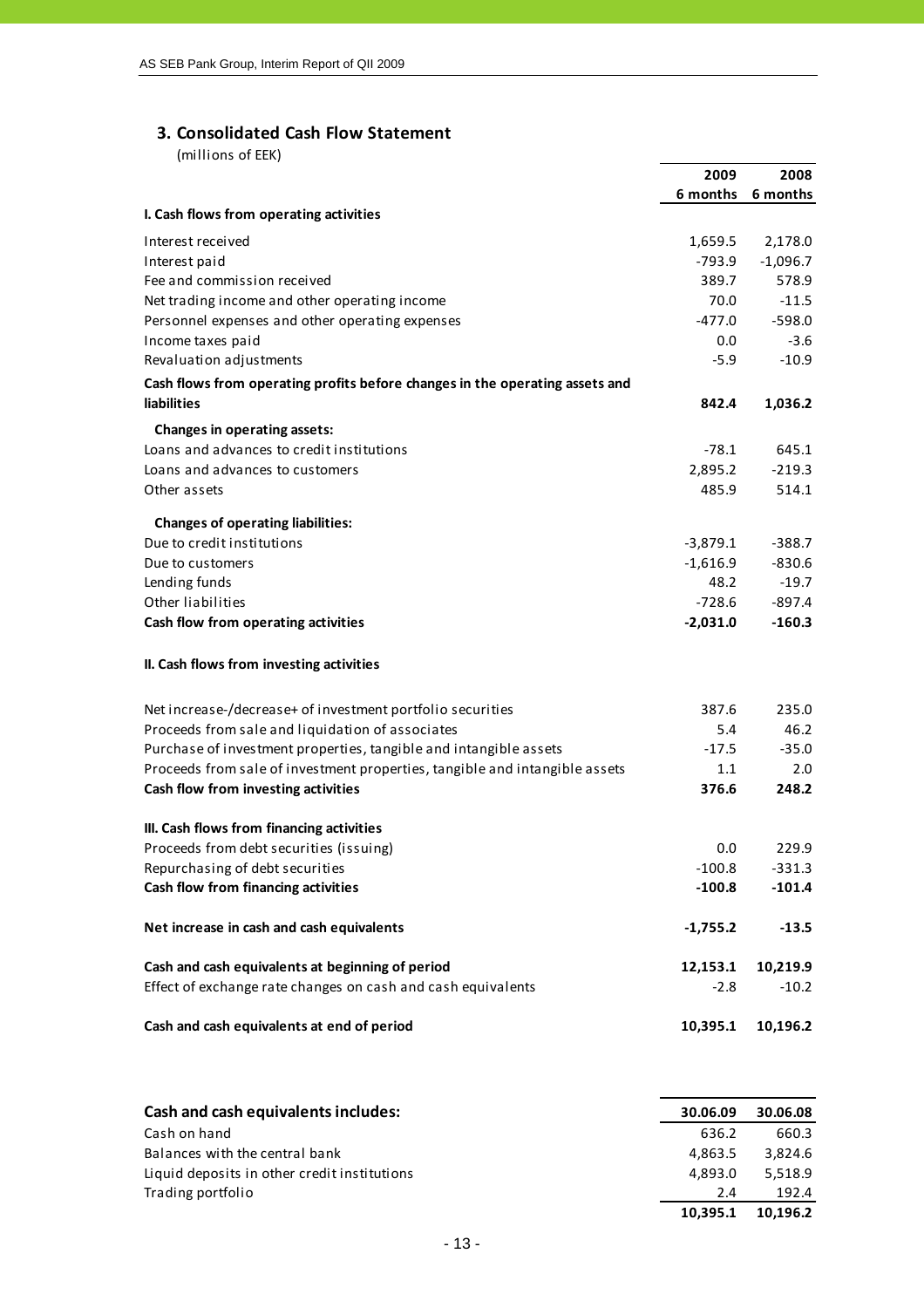## **3. Consolidated Cash Flow Statement**

| וייייי ט כווטוויויון                                                         |            |            |
|------------------------------------------------------------------------------|------------|------------|
|                                                                              | 2009       | 2008       |
|                                                                              | 6 months   | 6 months   |
| I. Cash flows from operating activities                                      |            |            |
| Interest received                                                            | 1,659.5    | 2,178.0    |
| Interest paid                                                                | $-793.9$   | $-1,096.7$ |
| Fee and commission received                                                  | 389.7      | 578.9      |
| Net trading income and other operating income                                | 70.0       | $-11.5$    |
| Personnel expenses and other operating expenses                              | $-477.0$   | $-598.0$   |
| Income taxes paid                                                            | 0.0        | $-3.6$     |
| Revaluation adjustments                                                      | $-5.9$     | $-10.9$    |
| Cash flows from operating profits before changes in the operating assets and |            |            |
| liabilities                                                                  | 842.4      | 1,036.2    |
| Changes in operating assets:                                                 |            |            |
| Loans and advances to credit institutions                                    | $-78.1$    | 645.1      |
| Loans and advances to customers                                              | 2,895.2    | $-219.3$   |
| Other assets                                                                 | 485.9      | 514.1      |
| <b>Changes of operating liabilities:</b>                                     |            |            |
| Due to credit institutions                                                   | $-3,879.1$ | $-388.7$   |
| Due to customers                                                             | $-1,616.9$ | $-830.6$   |
| Lending funds                                                                | 48.2       | $-19.7$    |
| Other liabilities                                                            | $-728.6$   | $-897.4$   |
| Cash flow from operating activities                                          | $-2,031.0$ | $-160.3$   |
| II. Cash flows from investing activities                                     |            |            |
|                                                                              |            |            |
| Net increase-/decrease+ of investment portfolio securities                   | 387.6      | 235.0      |
| Proceeds from sale and liquidation of associates                             | 5.4        | 46.2       |
| Purchase of investment properties, tangible and intangible assets            | $-17.5$    | $-35.0$    |
| Proceeds from sale of investment properties, tangible and intangible assets  | 1.1        | 2.0        |
| Cash flow from investing activities                                          | 376.6      | 248.2      |
| III. Cash flows from financing activities                                    |            |            |
| Proceeds from debt securities (issuing)                                      | 0.0        | 229.9      |
| Repurchasing of debt securities                                              | $-100.8$   | $-331.3$   |
| Cash flow from financing activities                                          | $-100.8$   | $-101.4$   |
|                                                                              |            |            |
| Net increase in cash and cash equivalents                                    | $-1,755.2$ | $-13.5$    |
| Cash and cash equivalents at beginning of period                             | 12,153.1   | 10,219.9   |
| Effect of exchange rate changes on cash and cash equivalents                 | $-2.8$     | $-10.2$    |
|                                                                              |            |            |
| Cash and cash equivalents at end of period                                   | 10,395.1   | 10,196.2   |
|                                                                              |            |            |
|                                                                              |            |            |

| Cash and cash equivalents includes:          | 30.06.09 | 30.06.08 |
|----------------------------------------------|----------|----------|
| Cash on hand                                 | 636.2    | 660.3    |
| Balances with the central bank               | 4.863.5  | 3.824.6  |
| Liquid deposits in other credit institutions | 4.893.0  | 5.518.9  |
| Trading portfolio                            | 2.4      | 192.4    |
|                                              | 10.395.1 | 10.196.2 |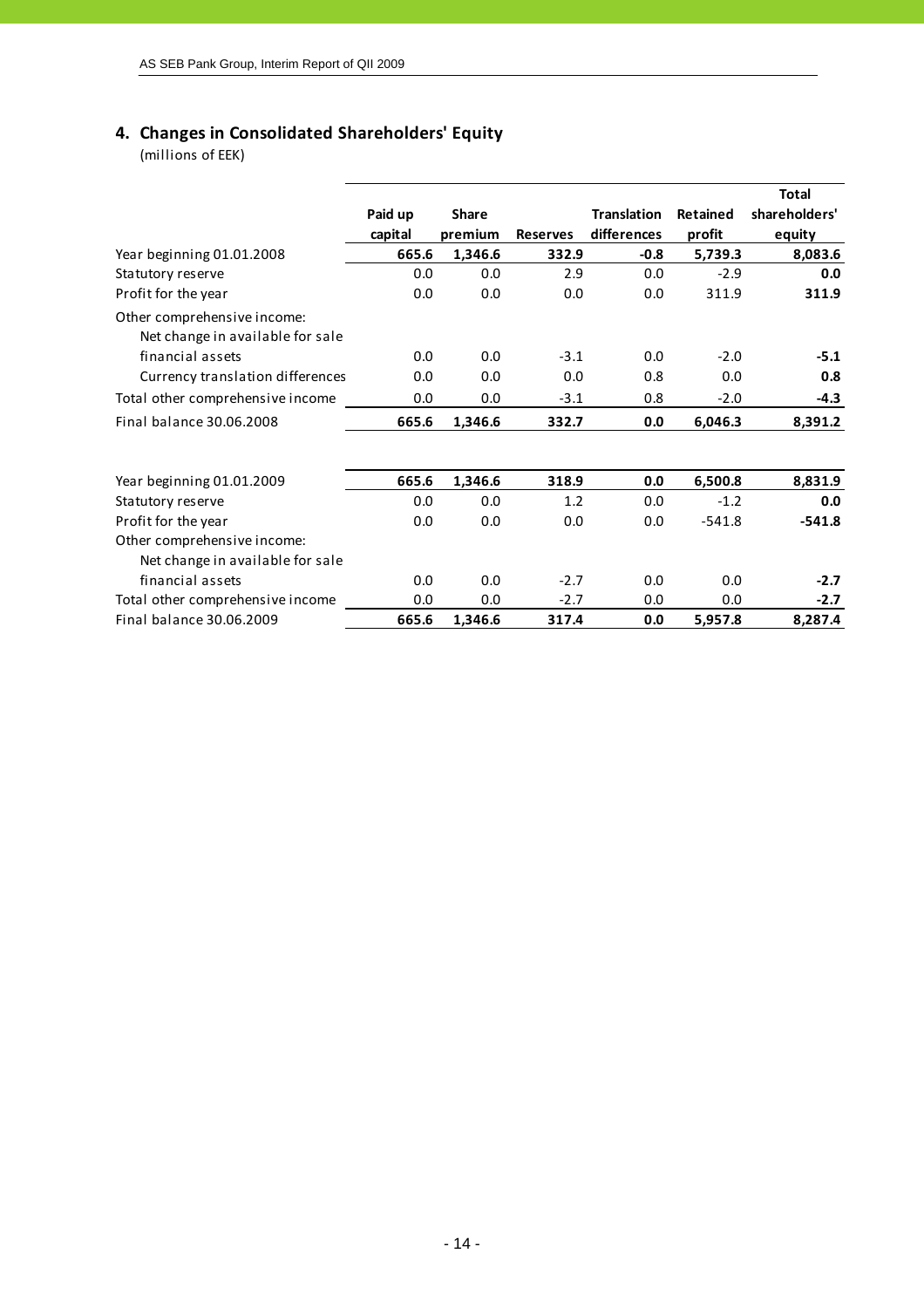# **4. Changes in Consolidated Shareholders' Equity**

|                                                                 |         |              |                 |                    |                 | <b>Total</b>  |
|-----------------------------------------------------------------|---------|--------------|-----------------|--------------------|-----------------|---------------|
|                                                                 | Paid up | <b>Share</b> |                 | <b>Translation</b> | <b>Retained</b> | shareholders' |
|                                                                 | capital | premium      | <b>Reserves</b> | differences        | profit          | equity        |
| Year beginning 01.01.2008                                       | 665.6   | 1,346.6      | 332.9           | $-0.8$             | 5,739.3         | 8,083.6       |
| Statutory reserve                                               | 0.0     | 0.0          | 2.9             | 0.0                | $-2.9$          | 0.0           |
| Profit for the year                                             | 0.0     | 0.0          | 0.0             | 0.0                | 311.9           | 311.9         |
| Other comprehensive income:<br>Net change in available for sale |         |              |                 |                    |                 |               |
| financial assets                                                | 0.0     | 0.0          | $-3.1$          | 0.0                | $-2.0$          | $-5.1$        |
| Currency translation differences                                | 0.0     | 0.0          | 0.0             | 0.8                | 0.0             | 0.8           |
| Total other comprehensive income                                | 0.0     | 0.0          | $-3.1$          | 0.8                | $-2.0$          | $-4.3$        |
| Final balance 30.06.2008                                        | 665.6   | 1,346.6      | 332.7           | 0.0                | 6,046.3         | 8,391.2       |
| Year beginning 01.01.2009                                       | 665.6   | 1,346.6      | 318.9           | 0.0                | 6,500.8         | 8,831.9       |
| Statutory reserve                                               | 0.0     | 0.0          | 1.2             | 0.0                | $-1.2$          | 0.0           |
| Profit for the year                                             | 0.0     | 0.0          | 0.0             | 0.0                | $-541.8$        | $-541.8$      |
| Other comprehensive income:<br>Net change in available for sale |         |              |                 |                    |                 |               |
| financial assets                                                | 0.0     | 0.0          | $-2.7$          | 0.0                | 0.0             | $-2.7$        |
| Total other comprehensive income                                | 0.0     | 0.0          | $-2.7$          | 0.0                | 0.0             | $-2.7$        |
| Final balance 30.06.2009                                        | 665.6   | 1,346.6      | 317.4           | 0.0                | 5,957.8         | 8,287.4       |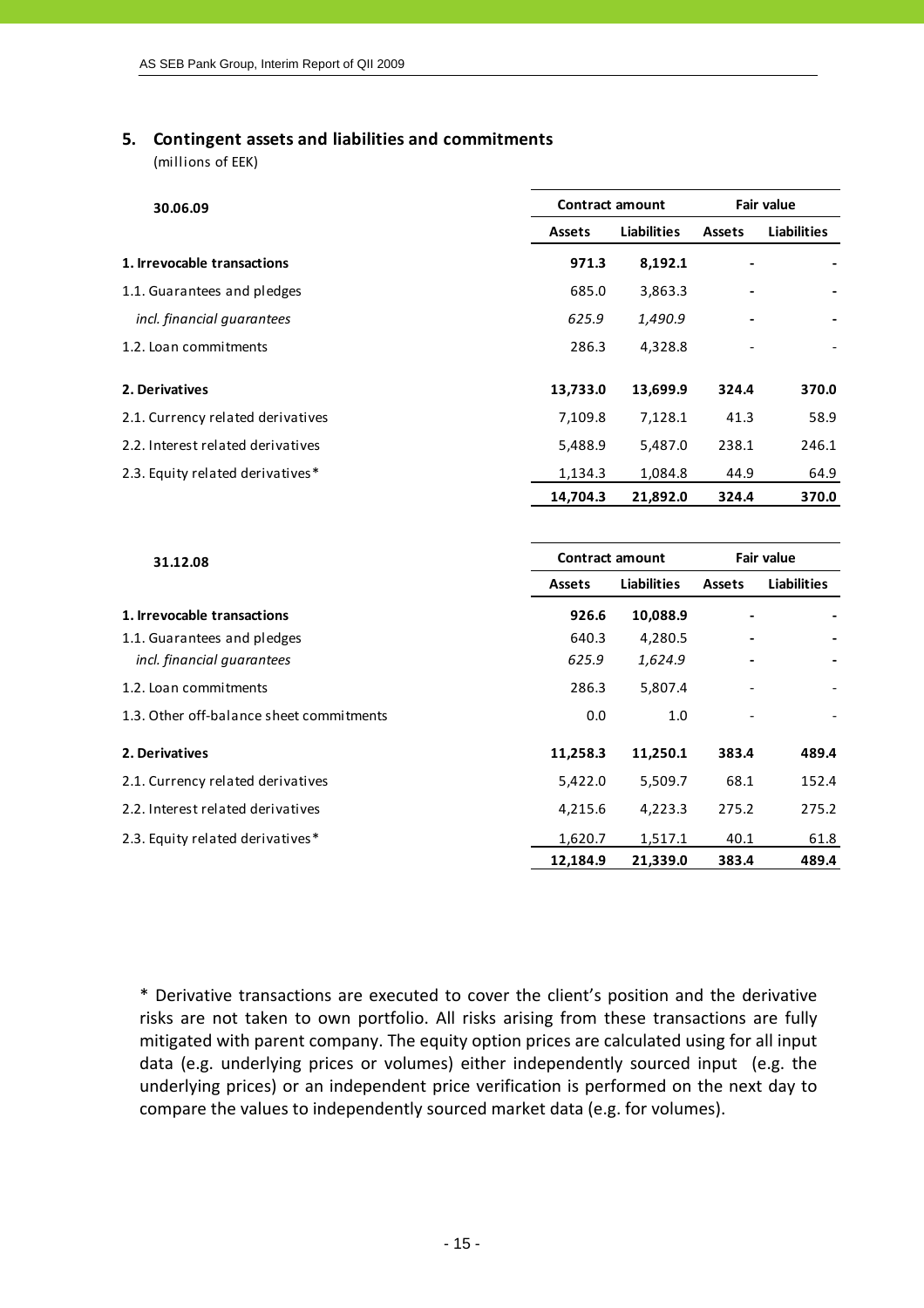#### **5. Contingent assets and liabilities and commitments**

(millions of EEK)

| 30.06.09                          | <b>Contract amount</b> |             | <b>Fair value</b> |                    |  |
|-----------------------------------|------------------------|-------------|-------------------|--------------------|--|
|                                   | <b>Assets</b>          | Liabilities | <b>Assets</b>     | <b>Liabilities</b> |  |
| 1. Irrevocable transactions       | 971.3                  | 8,192.1     |                   |                    |  |
| 1.1. Guarantees and pledges       | 685.0                  | 3,863.3     |                   |                    |  |
| incl. financial guarantees        | 625.9                  | 1,490.9     |                   |                    |  |
| 1.2. Loan commitments             | 286.3                  | 4,328.8     |                   |                    |  |
| 2. Derivatives                    | 13,733.0               | 13,699.9    | 324.4             | 370.0              |  |
| 2.1. Currency related derivatives | 7,109.8                | 7,128.1     | 41.3              | 58.9               |  |
| 2.2. Interest related derivatives | 5,488.9                | 5,487.0     | 238.1             | 246.1              |  |
| 2.3. Equity related derivatives*  | 1,134.3                | 1,084.8     | 44.9              | 64.9               |  |
|                                   | 14,704.3               | 21,892.0    | 324.4             | 370.0              |  |

| 31.12.08                                 |               | <b>Contract amount</b> | <b>Fair value</b> |                    |  |
|------------------------------------------|---------------|------------------------|-------------------|--------------------|--|
|                                          | <b>Assets</b> | Liabilities            | <b>Assets</b>     | <b>Liabilities</b> |  |
| 1. Irrevocable transactions              | 926.6         | 10,088.9               |                   |                    |  |
| 1.1. Guarantees and pledges              | 640.3         | 4,280.5                |                   |                    |  |
| incl. financial guarantees               | 625.9         | 1,624.9                |                   |                    |  |
| 1.2. Loan commitments                    | 286.3         | 5,807.4                |                   |                    |  |
| 1.3. Other off-balance sheet commitments | 0.0           | 1.0                    |                   |                    |  |
| 2. Derivatives                           | 11,258.3      | 11,250.1               | 383.4             | 489.4              |  |
| 2.1. Currency related derivatives        | 5,422.0       | 5,509.7                | 68.1              | 152.4              |  |
| 2.2. Interest related derivatives        | 4,215.6       | 4,223.3                | 275.2             | 275.2              |  |
| 2.3. Equity related derivatives*         | 1,620.7       | 1,517.1                | 40.1              | 61.8               |  |
|                                          | 12,184.9      | 21,339.0               | 383.4             | 489.4              |  |

\* Derivative transactions are executed to cover the client's position and the derivative risks are not taken to own portfolio. All risks arising from these transactions are fully mitigated with parent company. The equity option prices are calculated using for all input data (e.g. underlying prices or volumes) either independently sourced input (e.g. the underlying prices) or an independent price verification is performed on the next day to compare the values to independently sourced market data (e.g. for volumes).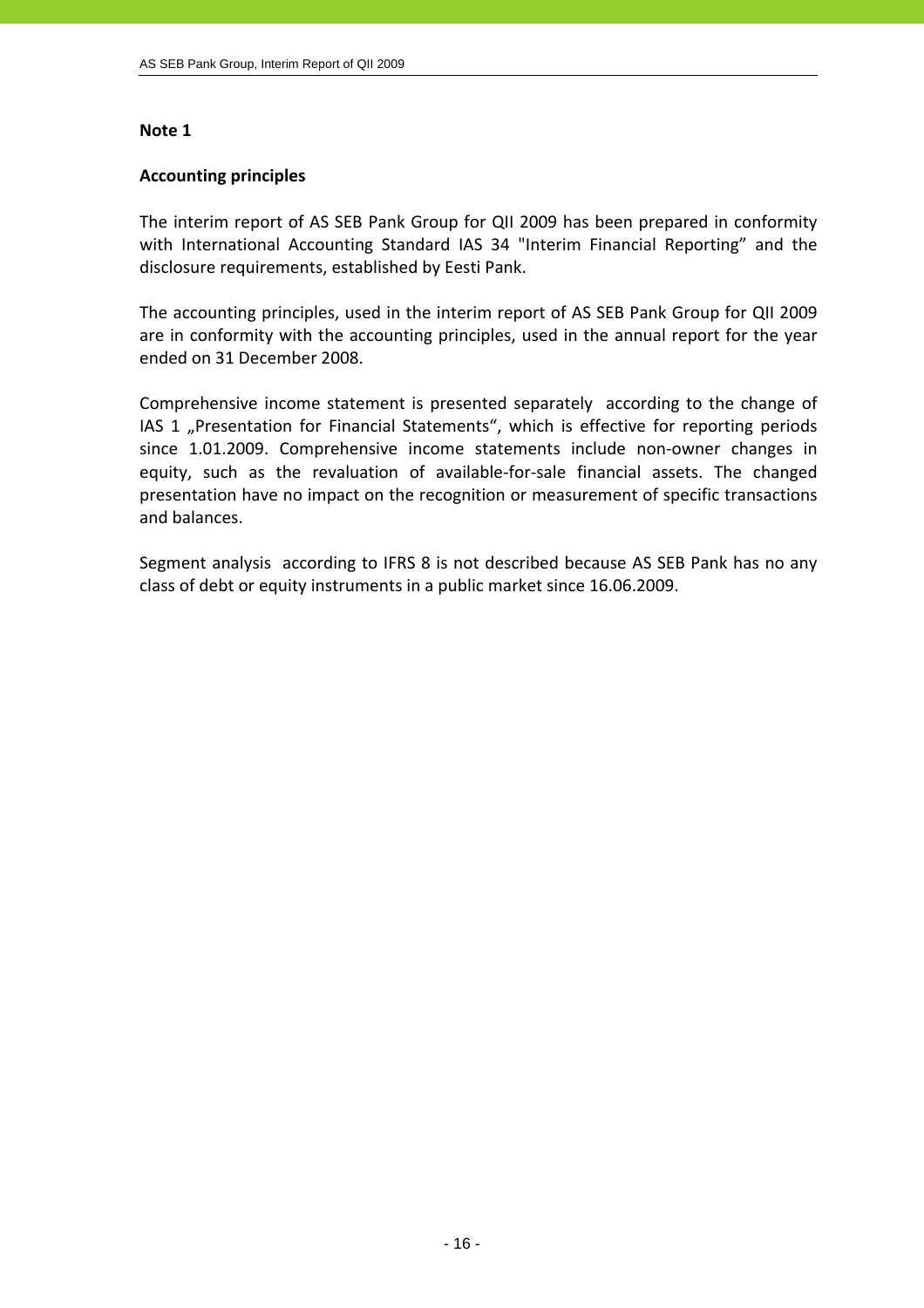#### **Accounting principles**

The interim report of AS SEB Pank Group for QII 2009 has been prepared in conformity with International Accounting Standard IAS 34 "Interim Financial Reporting" and the disclosure requirements, established by Eesti Pank.

The accounting principles, used in the interim report of AS SEB Pank Group for QII 2009 are in conformity with the accounting principles, used in the annual report for the year ended on 31 December 2008.

Comprehensive income statement is presented separately according to the change of IAS 1 "Presentation for Financial Statements", which is effective for reporting periods since 1.01.2009. Comprehensive income statements include non‐owner changes in equity, such as the revaluation of available-for-sale financial assets. The changed presentation have no impact on the recognition or measurement of specific transactions and balances.

Segment analysis according to IFRS 8 is not described because AS SEB Pank has no any class of debt or equity instruments in a public market since 16.06.2009.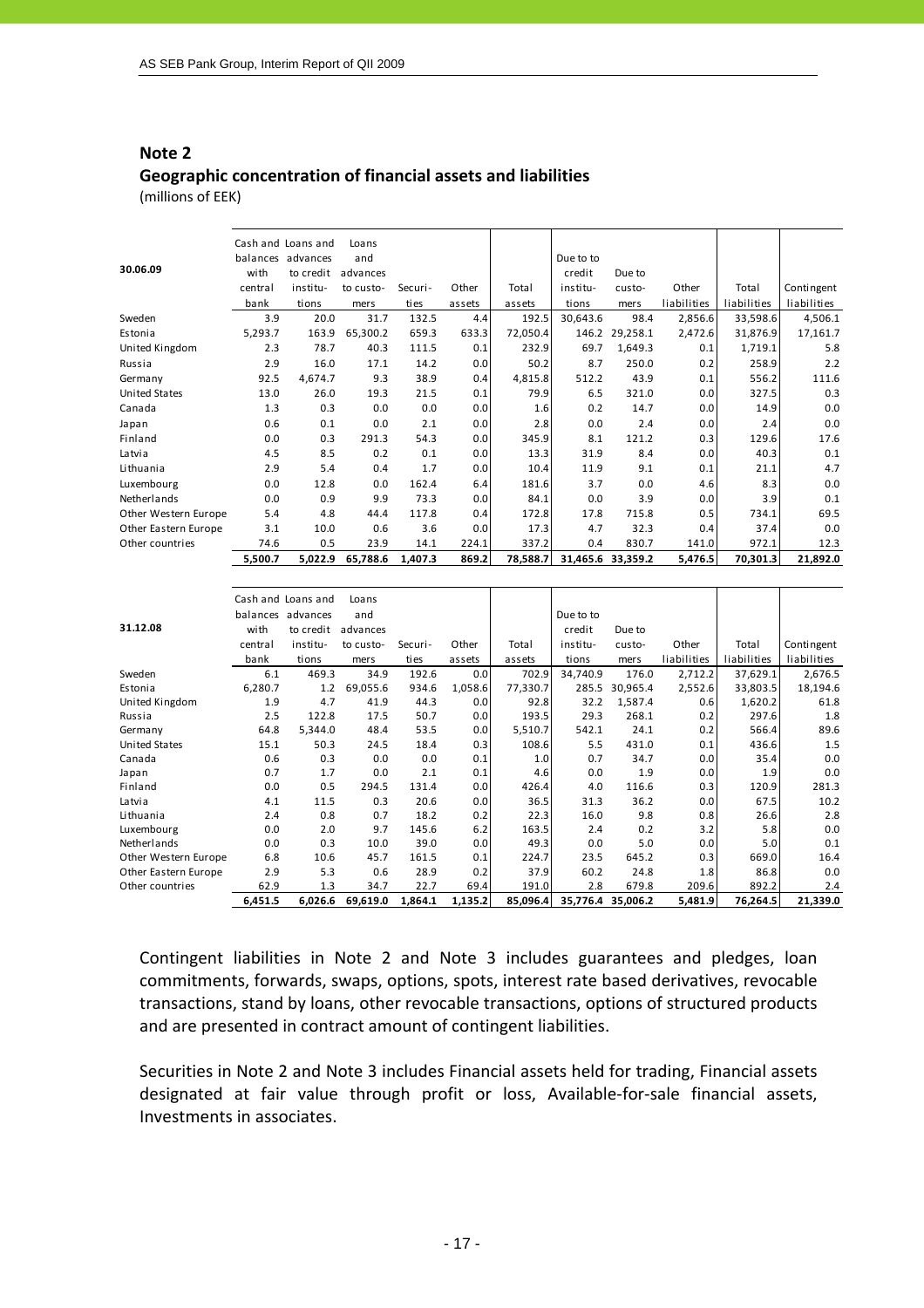# **Note 2 Geographic concentration of financial assets and liabilities**

(millions of EEK)

| 30.06.09             | with    | Cash and Loans and<br>balances advances<br>to credit | Loans<br>and<br>advances |         |        |          | Due to to<br>credit | Due to            |             |             |             |
|----------------------|---------|------------------------------------------------------|--------------------------|---------|--------|----------|---------------------|-------------------|-------------|-------------|-------------|
|                      | central | institu-                                             | to custo-                | Securi- | Other  | Total    | institu-            | custo-            | Other       | Total       | Contingent  |
|                      | bank    | tions                                                | mers                     | ties    | assets | assets   | tions               | mers              | liabilities | liabilities | liabilities |
| Sweden               | 3.9     | 20.0                                                 | 31.7                     | 132.5   | 4.4    | 192.5    | 30,643.6            | 98.4              | 2,856.6     | 33,598.6    | 4,506.1     |
| Estonia              | 5,293.7 | 163.9                                                | 65,300.2                 | 659.3   | 633.3  | 72,050.4 | 146.2               | 29,258.1          | 2,472.6     | 31,876.9    | 17,161.7    |
| United Kingdom       | 2.3     | 78.7                                                 | 40.3                     | 111.5   | 0.1    | 232.9    | 69.7                | 1,649.3           | 0.1         | 1,719.1     | 5.8         |
| Russia               | 2.9     | 16.0                                                 | 17.1                     | 14.2    | 0.0    | 50.2     | 8.7                 | 250.0             | 0.2         | 258.9       | 2.2         |
| Germany              | 92.5    | 4,674.7                                              | 9.3                      | 38.9    | 0.4    | 4,815.8  | 512.2               | 43.9              | 0.1         | 556.2       | 111.6       |
| <b>United States</b> | 13.0    | 26.0                                                 | 19.3                     | 21.5    | 0.1    | 79.9     | 6.5                 | 321.0             | 0.0         | 327.5       | 0.3         |
| Canada               | 1.3     | 0.3                                                  | 0.0                      | 0.0     | 0.0    | 1.6      | 0.2                 | 14.7              | 0.0         | 14.9        | 0.0         |
| Japan                | 0.6     | 0.1                                                  | 0.0                      | 2.1     | 0.0    | 2.8      | 0.0                 | 2.4               | 0.0         | 2.4         | 0.0         |
| Finland              | 0.0     | 0.3                                                  | 291.3                    | 54.3    | 0.0    | 345.9    | 8.1                 | 121.2             | 0.3         | 129.6       | 17.6        |
| Latvia               | 4.5     | 8.5                                                  | 0.2                      | 0.1     | 0.0    | 13.3     | 31.9                | 8.4               | 0.0         | 40.3        | 0.1         |
| Lithuania            | 2.9     | 5.4                                                  | 0.4                      | 1.7     | 0.0    | 10.4     | 11.9                | 9.1               | 0.1         | 21.1        | 4.7         |
| Luxembourg           | 0.0     | 12.8                                                 | 0.0                      | 162.4   | 6.4    | 181.6    | 3.7                 | 0.0               | 4.6         | 8.3         | 0.0         |
| Netherlands          | 0.0     | 0.9                                                  | 9.9                      | 73.3    | 0.0    | 84.1     | 0.0                 | 3.9               | 0.0         | 3.9         | 0.1         |
| Other Western Europe | 5.4     | 4.8                                                  | 44.4                     | 117.8   | 0.4    | 172.8    | 17.8                | 715.8             | 0.5         | 734.1       | 69.5        |
| Other Eastern Europe | 3.1     | 10.0                                                 | 0.6                      | 3.6     | 0.0    | 17.3     | 4.7                 | 32.3              | 0.4         | 37.4        | 0.0         |
| Other countries      | 74.6    | 0.5                                                  | 23.9                     | 14.1    | 224.1  | 337.2    | 0.4                 | 830.7             | 141.0       | 972.1       | 12.3        |
|                      | 5,500.7 | 5,022.9                                              | 65,788.6                 | 1,407.3 | 869.2  | 78,588.7 |                     | 31,465.6 33,359.2 | 5,476.5     | 70,301.3    | 21,892.0    |

| 31.12.08             | with    | Cash and Loans and<br>balances advances<br>to credit | Loans<br>and<br>advances |         |         |          | Due to to<br>credit | Due to            |             |             |             |
|----------------------|---------|------------------------------------------------------|--------------------------|---------|---------|----------|---------------------|-------------------|-------------|-------------|-------------|
|                      | central | institu-                                             | to custo-                | Securi- | Other   | Total    | institu-            | custo-            | Other       | Total       | Contingent  |
|                      | bank    | tions                                                | mers                     | ties    | assets  | assets   | tions               | mers              | liabilities | liabilities | liabilities |
| Sweden               | 6.1     | 469.3                                                | 34.9                     | 192.6   | 0.0     | 702.9    | 34,740.9            | 176.0             | 2,712.2     | 37,629.1    | 2,676.5     |
| Estonia              | 6,280.7 | 1.2                                                  | 69,055.6                 | 934.6   | 1,058.6 | 77,330.7 | 285.5               | 30,965.4          | 2,552.6     | 33,803.5    | 18,194.6    |
| United Kingdom       | 1.9     | 4.7                                                  | 41.9                     | 44.3    | 0.0     | 92.8     | 32.2                | 1,587.4           | 0.6         | 1,620.2     | 61.8        |
| Russia               | 2.5     | 122.8                                                | 17.5                     | 50.7    | 0.0     | 193.5    | 29.3                | 268.1             | 0.2         | 297.6       | 1.8         |
| Germany              | 64.8    | 5,344.0                                              | 48.4                     | 53.5    | 0.0     | 5,510.7  | 542.1               | 24.1              | 0.2         | 566.4       | 89.6        |
| <b>United States</b> | 15.1    | 50.3                                                 | 24.5                     | 18.4    | 0.3     | 108.6    | 5.5                 | 431.0             | 0.1         | 436.6       | 1.5         |
| Canada               | 0.6     | 0.3                                                  | 0.0                      | 0.0     | 0.1     | 1.0      | 0.7                 | 34.7              | 0.0         | 35.4        | 0.0         |
| Japan                | 0.7     | 1.7                                                  | 0.0                      | 2.1     | 0.1     | 4.6      | 0.0                 | 1.9               | 0.0         | 1.9         | 0.0         |
| Finland              | 0.0     | 0.5                                                  | 294.5                    | 131.4   | 0.0     | 426.4    | 4.0                 | 116.6             | 0.3         | 120.9       | 281.3       |
| Latvia               | 4.1     | 11.5                                                 | 0.3                      | 20.6    | 0.0     | 36.5     | 31.3                | 36.2              | 0.0         | 67.5        | 10.2        |
| Lithuania            | 2.4     | 0.8                                                  | 0.7                      | 18.2    | 0.2     | 22.3     | 16.0                | 9.8               | 0.8         | 26.6        | 2.8         |
| Luxembourg           | 0.0     | 2.0                                                  | 9.7                      | 145.6   | 6.2     | 163.5    | 2.4                 | 0.2               | 3.2         | 5.8         | 0.0         |
| Netherlands          | 0.0     | 0.3                                                  | 10.0                     | 39.0    | 0.0     | 49.3     | 0.0                 | 5.0               | 0.0         | 5.0         | 0.1         |
| Other Western Europe | 6.8     | 10.6                                                 | 45.7                     | 161.5   | 0.1     | 224.7    | 23.5                | 645.2             | 0.3         | 669.0       | 16.4        |
| Other Eastern Europe | 2.9     | 5.3                                                  | 0.6                      | 28.9    | 0.2     | 37.9     | 60.2                | 24.8              | 1.8         | 86.8        | 0.0         |
| Other countries      | 62.9    | 1.3                                                  | 34.7                     | 22.7    | 69.4    | 191.0    | 2.8                 | 679.8             | 209.6       | 892.2       | 2.4         |
|                      | 6,451.5 | 6,026.6                                              | 69,619.0                 | 1,864.1 | 1,135.2 | 85,096.4 |                     | 35,776.4 35,006.2 | 5,481.9     | 76,264.5    | 21,339.0    |

Contingent liabilities in Note 2 and Note 3 includes guarantees and pledges, loan commitments, forwards, swaps, options, spots, interest rate based derivatives, revocable transactions, stand by loans, other revocable transactions, options of structured products and are presented in contract amount of contingent liabilities.

Securities in Note 2 and Note 3 includes Financial assets held for trading, Financial assets designated at fair value through profit or loss, Available‐for‐sale financial assets, Investments in associates.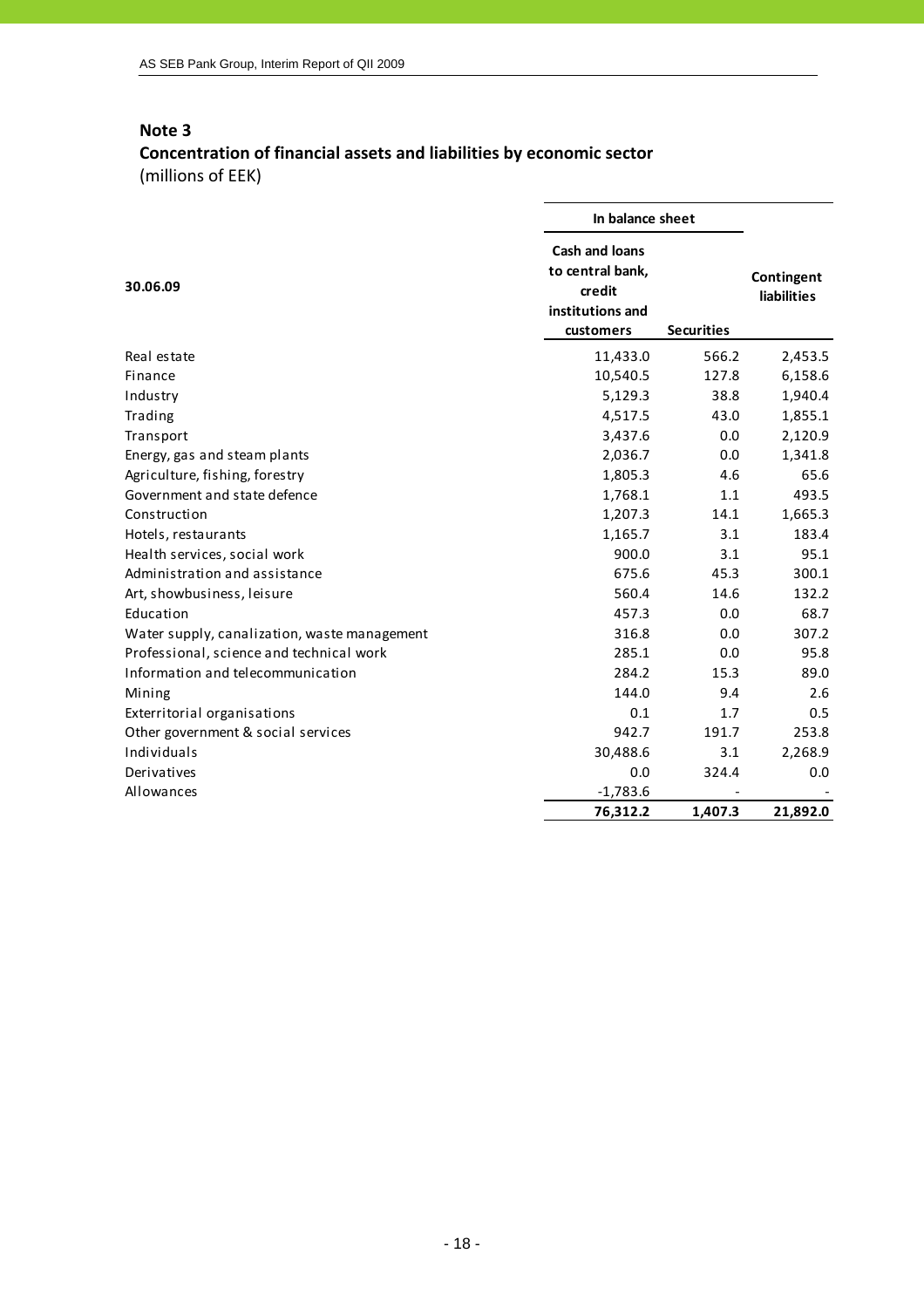# **Concentration of financial assets and liabilities by economic sector** (millions of EEK)

|                                              | In balance sheet                                                                     |                   |                                  |
|----------------------------------------------|--------------------------------------------------------------------------------------|-------------------|----------------------------------|
| 30.06.09                                     | <b>Cash and loans</b><br>to central bank,<br>credit<br>institutions and<br>customers | <b>Securities</b> | Contingent<br><b>liabilities</b> |
| Real estate                                  | 11,433.0                                                                             | 566.2             | 2,453.5                          |
| Finance                                      | 10,540.5                                                                             | 127.8             | 6,158.6                          |
| Industry                                     | 5,129.3                                                                              | 38.8              | 1,940.4                          |
| Trading                                      | 4,517.5                                                                              | 43.0              | 1,855.1                          |
| Transport                                    | 3,437.6                                                                              | 0.0               | 2,120.9                          |
| Energy, gas and steam plants                 | 2,036.7                                                                              | 0.0               | 1,341.8                          |
| Agriculture, fishing, forestry               | 1,805.3                                                                              | 4.6               | 65.6                             |
| Government and state defence                 | 1,768.1                                                                              | 1.1               | 493.5                            |
| Construction                                 | 1,207.3                                                                              | 14.1              | 1,665.3                          |
| Hotels, restaurants                          | 1,165.7                                                                              | 3.1               | 183.4                            |
| Health services, social work                 | 900.0                                                                                | 3.1               | 95.1                             |
| Administration and assistance                | 675.6                                                                                | 45.3              | 300.1                            |
| Art, showbusiness, leisure                   | 560.4                                                                                | 14.6              | 132.2                            |
| Education                                    | 457.3                                                                                | 0.0               | 68.7                             |
| Water supply, canalization, waste management | 316.8                                                                                | 0.0               | 307.2                            |
| Professional, science and technical work     | 285.1                                                                                | 0.0               | 95.8                             |
| Information and telecommunication            | 284.2                                                                                | 15.3              | 89.0                             |
| Mining                                       | 144.0                                                                                | 9.4               | 2.6                              |
| Exterritorial organisations                  | 0.1                                                                                  | 1.7               | 0.5                              |
| Other government & social services           | 942.7                                                                                | 191.7             | 253.8                            |
| Individuals                                  | 30,488.6                                                                             | 3.1               | 2,268.9                          |
| Derivatives                                  | 0.0                                                                                  | 324.4             | 0.0                              |
| Allowances                                   | $-1,783.6$                                                                           |                   |                                  |
|                                              | 76,312.2                                                                             | 1,407.3           | 21,892.0                         |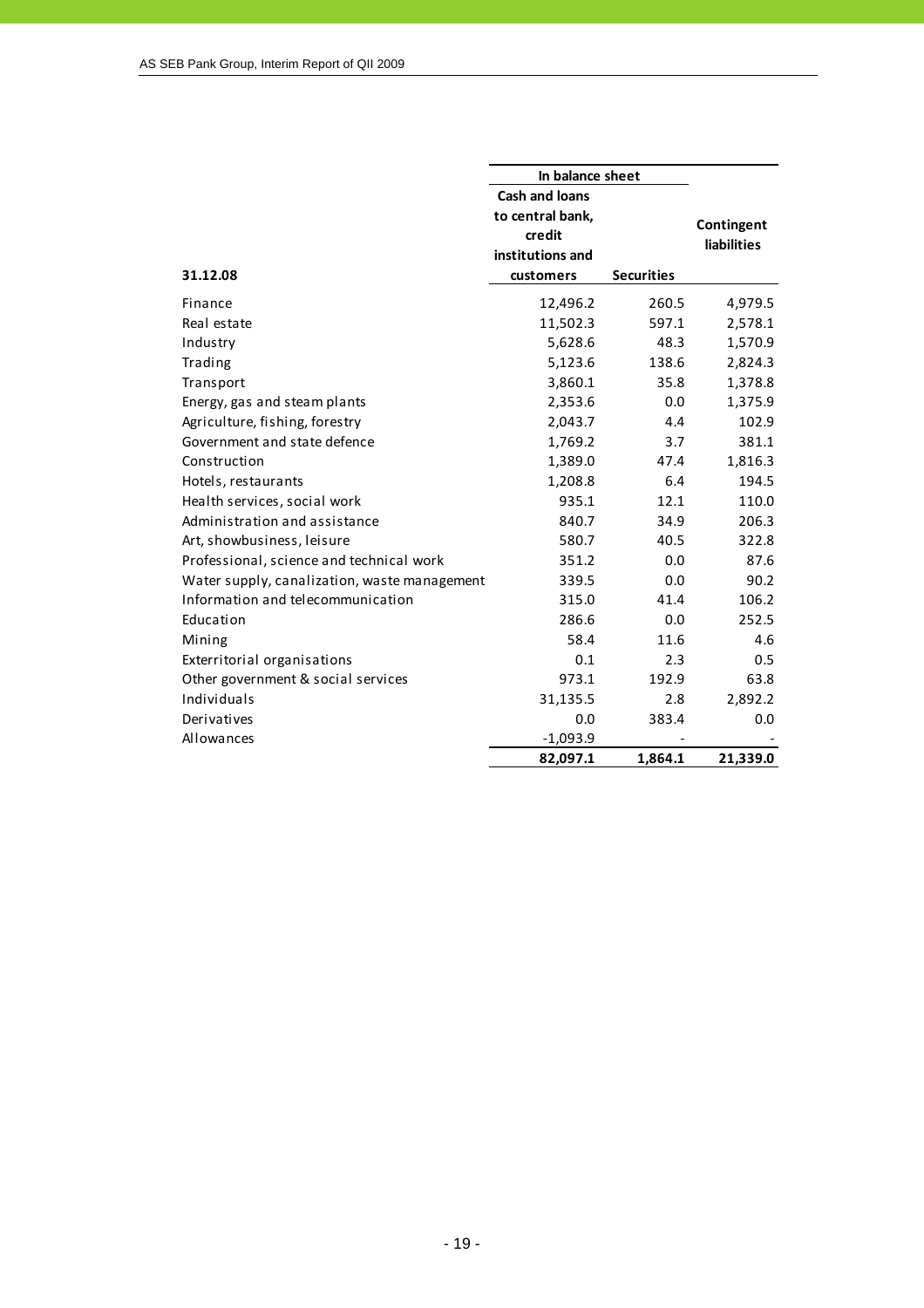|                                              | In balance sheet      |                   |                    |  |
|----------------------------------------------|-----------------------|-------------------|--------------------|--|
|                                              | <b>Cash and loans</b> |                   |                    |  |
|                                              | to central bank,      |                   | Contingent         |  |
|                                              | credit                |                   | <b>liabilities</b> |  |
|                                              | institutions and      |                   |                    |  |
| 31.12.08                                     | customers             | <b>Securities</b> |                    |  |
| Finance                                      | 12,496.2              | 260.5             | 4,979.5            |  |
| Real estate                                  | 11,502.3              | 597.1             | 2,578.1            |  |
| Industry                                     | 5,628.6               | 48.3              | 1,570.9            |  |
| Trading                                      | 5,123.6               | 138.6             | 2,824.3            |  |
| Transport                                    | 3,860.1               | 35.8              | 1,378.8            |  |
| Energy, gas and steam plants                 | 2,353.6               | 0.0               | 1,375.9            |  |
| Agriculture, fishing, forestry               | 2,043.7               | 4.4               | 102.9              |  |
| Government and state defence                 | 1,769.2               | 3.7               | 381.1              |  |
| Construction                                 | 1,389.0               | 47.4              | 1,816.3            |  |
| Hotels, restaurants                          | 1,208.8               | 6.4               | 194.5              |  |
| Health services, social work                 | 935.1                 | 12.1              | 110.0              |  |
| Administration and assistance                | 840.7                 | 34.9              | 206.3              |  |
| Art, showbusiness, leisure                   | 580.7                 | 40.5              | 322.8              |  |
| Professional, science and technical work     | 351.2                 | 0.0               | 87.6               |  |
| Water supply, canalization, waste management | 339.5                 | 0.0               | 90.2               |  |
| Information and telecommunication            | 315.0                 | 41.4              | 106.2              |  |
| Education                                    | 286.6                 | 0.0               | 252.5              |  |
| Mining                                       | 58.4                  | 11.6              | 4.6                |  |
| Exterritorial organisations                  | 0.1                   | 2.3               | 0.5                |  |
| Other government & social services           | 973.1                 | 192.9             | 63.8               |  |
| Individuals                                  | 31,135.5              | 2.8               | 2,892.2            |  |
| Derivatives                                  | 0.0                   | 383.4             | 0.0                |  |
| Allowances                                   | $-1,093.9$            |                   |                    |  |
|                                              | 82,097.1              | 1,864.1           | 21,339.0           |  |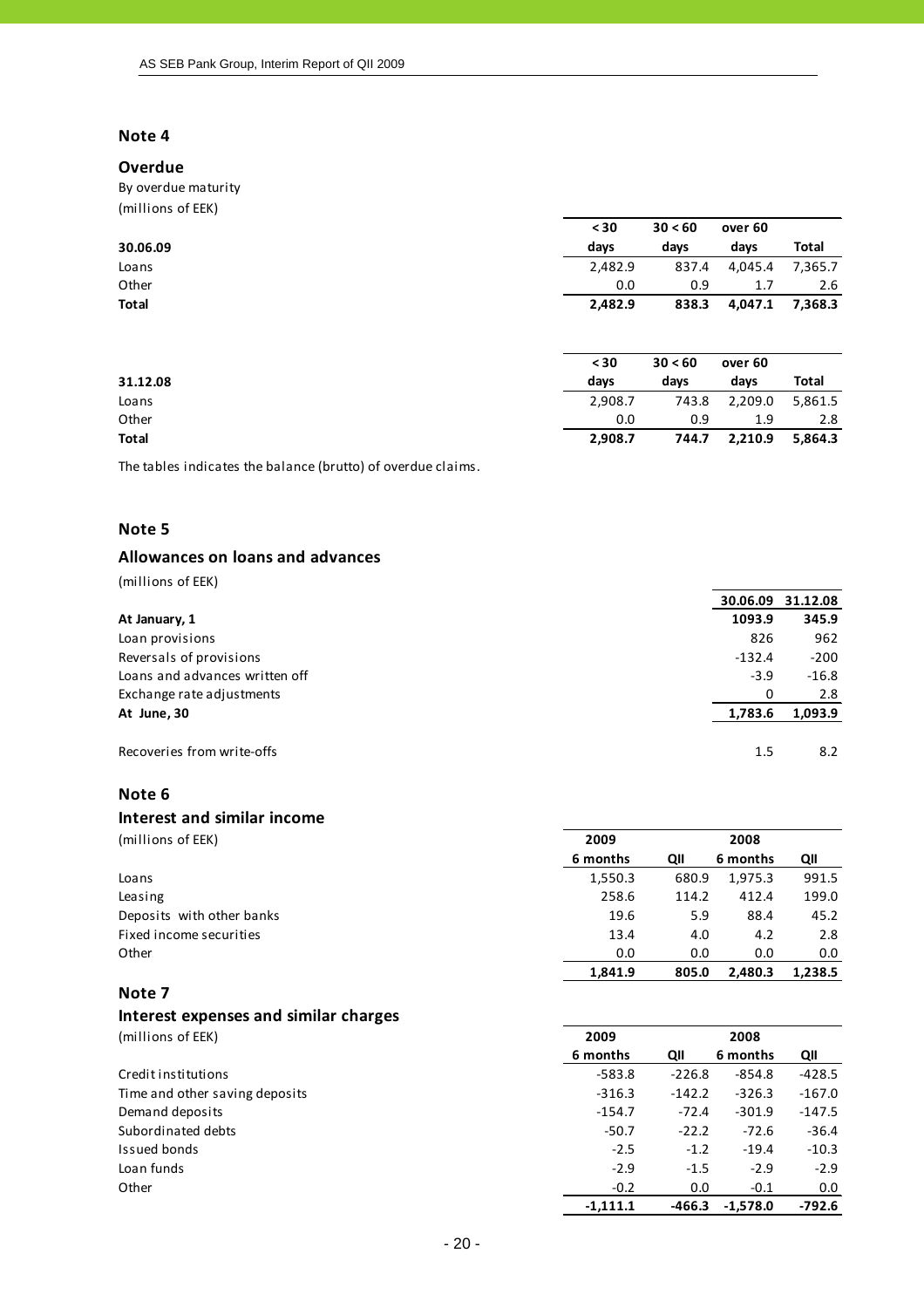#### **Overdue**

By overdue maturity (millions of EEK)

| $\frac{1}{2}$ |         |         |                    |              |
|---------------|---------|---------|--------------------|--------------|
|               | $30$    | 30 < 60 | over <sub>60</sub> |              |
| 30.06.09      | days    | days    | days               | Total        |
| Loans         | 2,482.9 | 837.4   | 4,045.4            | 7,365.7      |
| Other         | 0.0     | 0.9     | 1.7                | 2.6          |
| Total         | 2,482.9 | 838.3   | 4,047.1            | 7,368.3      |
|               | $30$    | 30 < 60 | over 60            |              |
| 31.12.08      | days    | days    | days               | <b>Total</b> |
| Loans         | 2,908.7 | 743.8   | 2,209.0            | 5,861.5      |
| Other         | 0.0     | 0.9     | 1.9                | 2.8          |
| Total         | 2,908.7 | 744.7   | 2,210.9            | 5,864.3      |

The tables indicates the balance (brutto) of overdue claims.

#### **Note 5**

#### **Allowances on loans and advances**

(millions of EEK)

|                                | 30.06.09 | 31.12.08 |
|--------------------------------|----------|----------|
| At January, 1                  | 1093.9   | 345.9    |
| Loan provisions                | 826      | 962      |
| Reversals of provisions        | $-132.4$ | $-200$   |
| Loans and advances written off | $-3.9$   | $-16.8$  |
| Exchange rate adjustments      | 0        | 2.8      |
| At June, 30                    | 1,783.6  | 1,093.9  |
| Recoveries from write-offs     | 1.5      | 8.2      |

#### **Note 6**

#### **Interest and similar income**

(millions of EEK) **2009 2009 2008 2008**

|                           | 6 months | QII   | 6 months | QII     |
|---------------------------|----------|-------|----------|---------|
| Loans                     | 1,550.3  | 680.9 | 1,975.3  | 991.5   |
| Leasing                   | 258.6    | 114.2 | 412.4    | 199.0   |
| Deposits with other banks | 19.6     | 5.9   | 88.4     | 45.2    |
| Fixed income securities   | 13.4     | 4.0   | 4.2      | 2.8     |
| Other                     | 0.0      | 0.0   | 0.0      | 0.0     |
|                           | 1.841.9  | 805.0 | 2.480.3  | 1,238.5 |

# **Note 7**

# **Interest expenses and similar charges**

| 2009       |          | 2008       |          |
|------------|----------|------------|----------|
| 6 months   | QII      | 6 months   | QII      |
| $-583.8$   |          | -854.8     | $-428.5$ |
| $-316.3$   | $-142.2$ | $-326.3$   | $-167.0$ |
| $-154.7$   | $-72.4$  | $-301.9$   | $-147.5$ |
| $-50.7$    | $-22.2$  | $-72.6$    | $-36.4$  |
| $-2.5$     | $-1.2$   | $-19.4$    | $-10.3$  |
| $-2.9$     | $-1.5$   | $-2.9$     | $-2.9$   |
| $-0.2$     | 0.0      | $-0.1$     | 0.0      |
| $-1,111.1$ | -466.3   | $-1,578.0$ | $-792.6$ |
|            |          | $-226.8$   |          |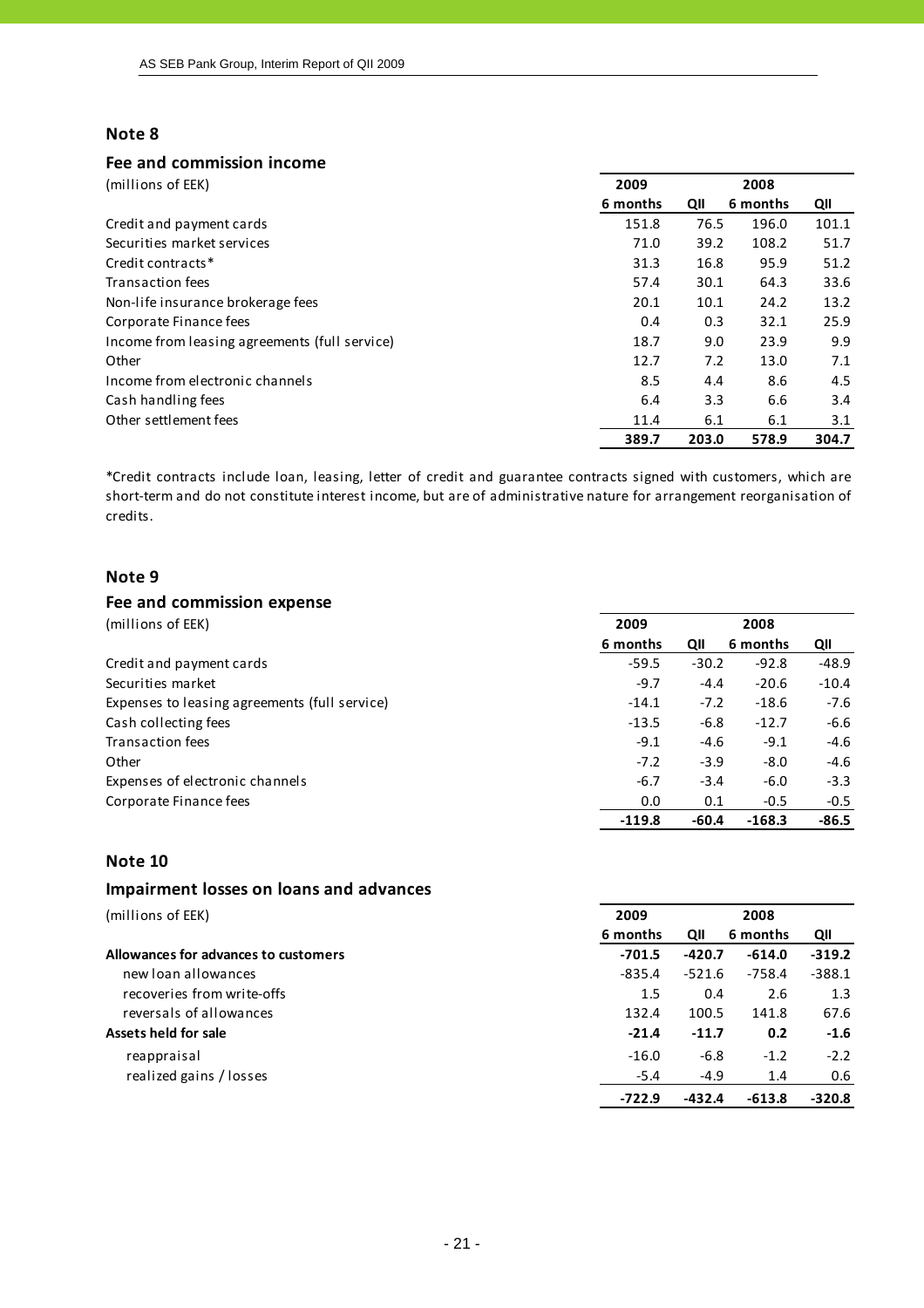## **Fee and commission income**

| (millions of EEK)                             | 2009     |       | 2008     |       |
|-----------------------------------------------|----------|-------|----------|-------|
|                                               | 6 months | QII   | 6 months | QII   |
| Credit and payment cards                      | 151.8    | 76.5  | 196.0    | 101.1 |
| Securities market services                    | 71.0     | 39.2  | 108.2    | 51.7  |
| Credit contracts*                             | 31.3     | 16.8  | 95.9     | 51.2  |
| <b>Transaction fees</b>                       | 57.4     | 30.1  | 64.3     | 33.6  |
| Non-life insurance brokerage fees             | 20.1     | 10.1  | 24.2     | 13.2  |
| Corporate Finance fees                        | 0.4      | 0.3   | 32.1     | 25.9  |
| Income from leasing agreements (full service) | 18.7     | 9.0   | 23.9     | 9.9   |
| Other                                         | 12.7     | 7.2   | 13.0     | 7.1   |
| Income from electronic channels               | 8.5      | 4.4   | 8.6      | 4.5   |
| Cash handling fees                            | 6.4      | 3.3   | 6.6      | 3.4   |
| Other settlement fees                         | 11.4     | 6.1   | 6.1      | 3.1   |
|                                               | 389.7    | 203.0 | 578.9    | 304.7 |

\*Credit contracts include loan, leasing, letter of credit and guarantee contracts signed with customers, which are short-term and do not constitute interest income, but are of administrative nature for arrangement reorganisation of credits.

#### **Note 9**

#### **Fee and commission expense** (millions of EEK) **2009 2009 2008 2008 6 months QII 6 months QII** Credit and payment cards **•**59.5 **·** -30.2 · -92.8 · -48.9 Securities market **19.2000 •10.4 •10.4 •10.4 •10.4 •10.4 •10.4 •10.4 •10.4 •10.4 •10.4 •10.4 •10.4 •10.4 •10.4 •10.4 •10.4 •10.4 •10.4 •10.4 •10.4 •10.4 •10.4 •10.4 •10.4 •** Expenses to leasing agreements (full service) **Expenses** to leasing agreements (full service) **19.4 19.6 19.6 19.6** Cash collecting fees  $-13.5$   $-6.8$   $-12.7$   $-6.6$ Transaction fees • 1.1 • 1.1 • 1.1 • 1.1 • 1.1 • 1.1 • 1.1 • 1.1 • 1.1 • 1.1 • 1.1 • 1.1 • 1.1 • 1.1 • 1.1 • 1.1 • 1.1 • 1.1 • 1.1 • 1.1 • 1.1 • 1.1 • 1.1 • 1.1 • 1.1 • 1.1 • 1.1 • 1.1 • 1.1 • 1.1 • 1.1 • 1.1 • 1.1 • 1.1 Other -7.2 -3.9 -8.0 -4.6 Expenses of electronic channels **Expenses** of electronic channels **6.7 •**  $-6.7$  **•**  $-3.4$  **•**  $-6.0$   $-3.3$ Corporate Finance fees **0.0 0.1 •0.5 •0.5 •0.5 •0.5 •0.5 •0.5 •0.5 •0.5 •0.5 •0.5 •0.5 •1.1 •1.1 •1.1 •1.1 •1.1 •1.1 •1.1 •1.1 •1.1 •1.1 •1.1 •1.1 •1.1 •1.1 •1.1 •1.1 ‐119.8 ‐60.4 ‐168.3 ‐86.5**

#### **Note 10**

#### **Impairment losses on loans and advances**

| (millions of EEK)                    | 2009     |          | 2008     |          |
|--------------------------------------|----------|----------|----------|----------|
|                                      | 6 months | QII      | 6 months | QII      |
| Allowances for advances to customers | $-701.5$ | $-420.7$ | $-614.0$ | $-319.2$ |
| new loan allowances                  | $-835.4$ | -521.6   | $-758.4$ | $-388.1$ |
| recoveries from write-offs           | 1.5      | 0.4      | 2.6      | 1.3      |
| reversals of allowances              | 132.4    | 100.5    | 141.8    | 67.6     |
| Assets held for sale                 | $-21.4$  | $-11.7$  | 0.2      | $-1.6$   |
| reappraisal                          | $-16.0$  | $-6.8$   | $-1.2$   | $-2.2$   |
| realized gains / losses              | $-5.4$   | $-4.9$   | 1.4      | 0.6      |
|                                      | $-722.9$ | $-432.4$ | $-613.8$ | $-320.8$ |